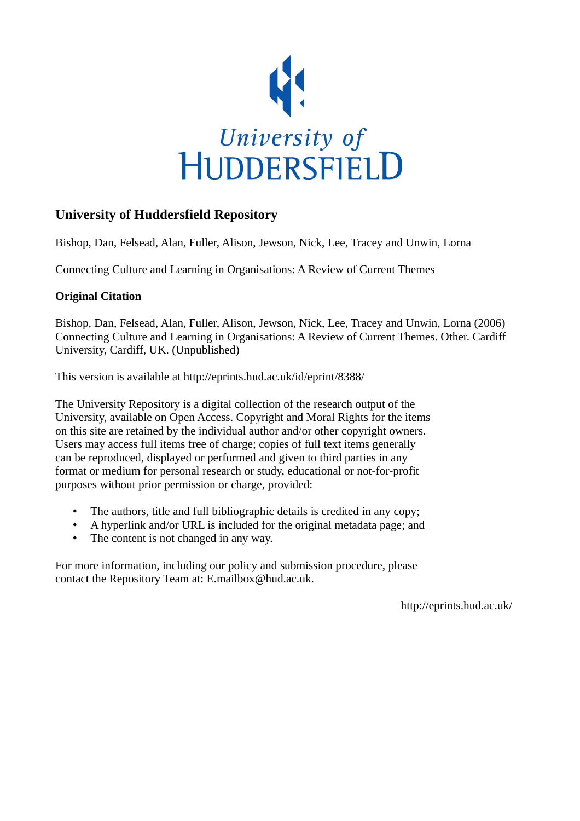

# **University of Huddersfield Repository**

Bishop, Dan, Felsead, Alan, Fuller, Alison, Jewson, Nick, Lee, Tracey and Unwin, Lorna

Connecting Culture and Learning in Organisations: A Review of Current Themes

# **Original Citation**

Bishop, Dan, Felsead, Alan, Fuller, Alison, Jewson, Nick, Lee, Tracey and Unwin, Lorna (2006) Connecting Culture and Learning in Organisations: A Review of Current Themes. Other. Cardiff University, Cardiff, UK. (Unpublished)

This version is available at http://eprints.hud.ac.uk/id/eprint/8388/

The University Repository is a digital collection of the research output of the University, available on Open Access. Copyright and Moral Rights for the items on this site are retained by the individual author and/or other copyright owners. Users may access full items free of charge; copies of full text items generally can be reproduced, displayed or performed and given to third parties in any format or medium for personal research or study, educational or not-for-profit purposes without prior permission or charge, provided:

- The authors, title and full bibliographic details is credited in any copy;
- A hyperlink and/or URL is included for the original metadata page; and
- The content is not changed in any way.

For more information, including our policy and submission procedure, please contact the Repository Team at: E.mailbox@hud.ac.uk.

http://eprints.hud.ac.uk/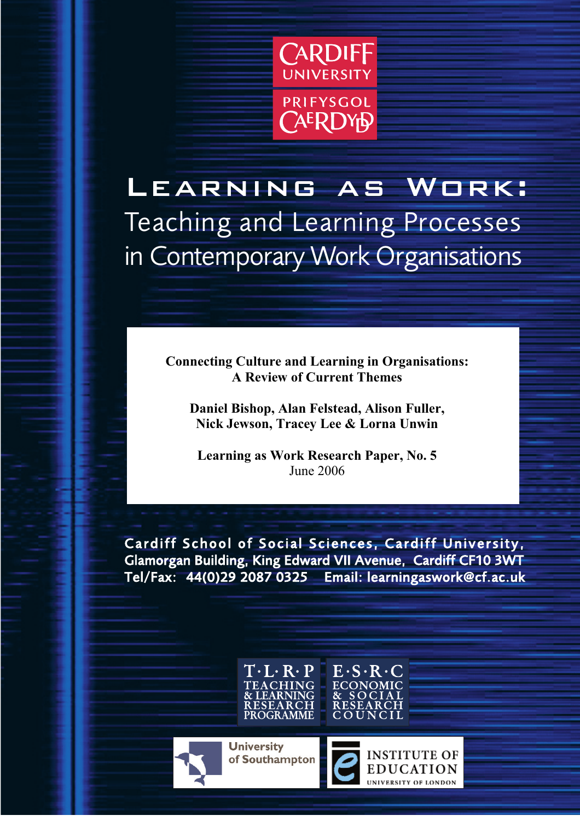

Learning as Work: Teaching and Learning Processes in Contemporary Work Organisations

> Connecting Culture and Learning in Organisations: A Review of Current Themes

Daniel Bishop, Alan Felstead, Alison Fuller, Nick Jewson, Tracey Lee & Lorna Unwin

Learning as Work Research Paper, No. 5 June 2006

Cardiff School of Social Sciences, Cardiff University, Glamorgan Building, King Edward VII Avenue, Cardiff CF10 3WT Tel/Fax: +44(0)29 2087 0325 Email: learningaswork@cf.ac.uk



**University** of Southampton



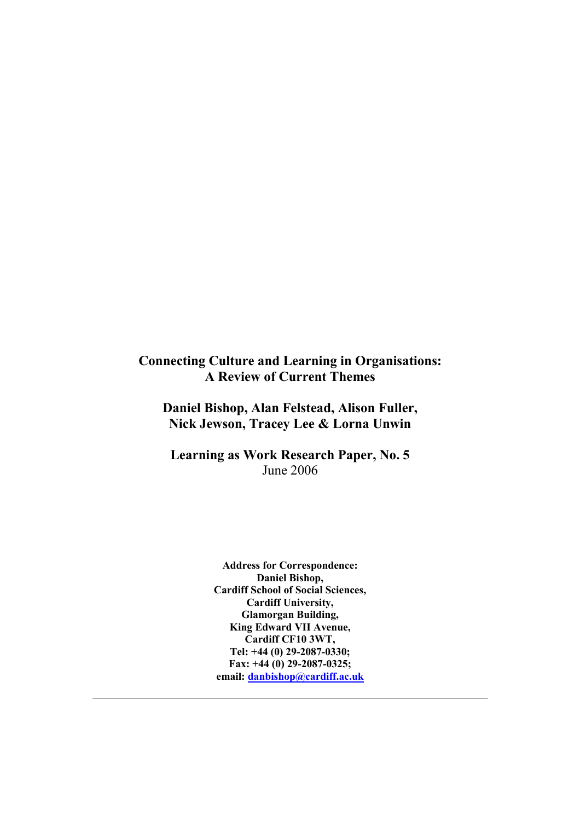# Connecting Culture and Learning in Organisations: A Review of Current Themes

Daniel Bishop, Alan Felstead, Alison Fuller, Nick Jewson, Tracey Lee & Lorna Unwin

Learning as Work Research Paper, No. 5 June 2006

> Address for Correspondence: Daniel Bishop, Cardiff School of Social Sciences, Cardiff University, Glamorgan Building, King Edward VII Avenue, Cardiff CF10 3WT, Tel: +44 (0) 29-2087-0330; Fax: +44 (0) 29-2087-0325; email: danbishop@cardiff.ac.uk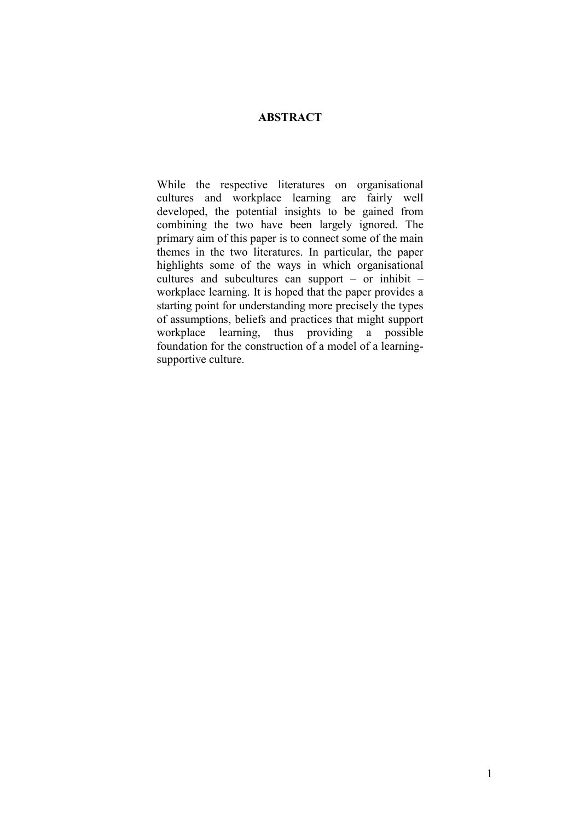## ABSTRACT

While the respective literatures on organisational cultures and workplace learning are fairly well developed, the potential insights to be gained from combining the two have been largely ignored. The primary aim of this paper is to connect some of the main themes in the two literatures. In particular, the paper highlights some of the ways in which organisational cultures and subcultures can support – or inhibit – workplace learning. It is hoped that the paper provides a starting point for understanding more precisely the types of assumptions, beliefs and practices that might support workplace learning, thus providing a possible foundation for the construction of a model of a learningsupportive culture.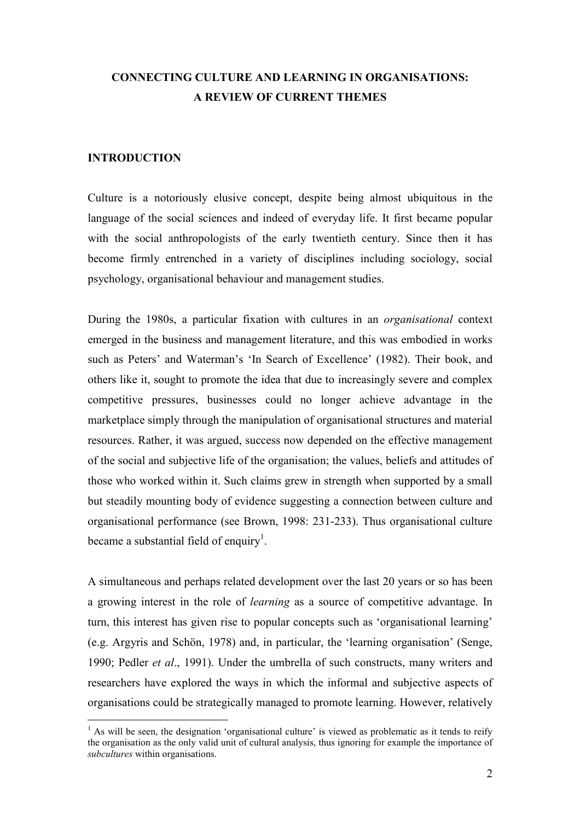# CONNECTING CULTURE AND LEARNING IN ORGANISATIONS: A REVIEW OF CURRENT THEMES

### INTRODUCTION

Culture is a notoriously elusive concept, despite being almost ubiquitous in the language of the social sciences and indeed of everyday life. It first became popular with the social anthropologists of the early twentieth century. Since then it has become firmly entrenched in a variety of disciplines including sociology, social psychology, organisational behaviour and management studies.

During the 1980s, a particular fixation with cultures in an organisational context emerged in the business and management literature, and this was embodied in works such as Peters' and Waterman's 'In Search of Excellence' (1982). Their book, and others like it, sought to promote the idea that due to increasingly severe and complex competitive pressures, businesses could no longer achieve advantage in the marketplace simply through the manipulation of organisational structures and material resources. Rather, it was argued, success now depended on the effective management of the social and subjective life of the organisation; the values, beliefs and attitudes of those who worked within it. Such claims grew in strength when supported by a small but steadily mounting body of evidence suggesting a connection between culture and organisational performance (see Brown, 1998: 231-233). Thus organisational culture became a substantial field of enquiry<sup>1</sup>.

A simultaneous and perhaps related development over the last 20 years or so has been a growing interest in the role of learning as a source of competitive advantage. In turn, this interest has given rise to popular concepts such as 'organisational learning' (e.g. Argyris and Schön, 1978) and, in particular, the 'learning organisation' (Senge, 1990; Pedler *et al.*, 1991). Under the umbrella of such constructs, many writers and researchers have explored the ways in which the informal and subjective aspects of organisations could be strategically managed to promote learning. However, relatively

<sup>&</sup>lt;sup>1</sup> As will be seen, the designation 'organisational culture' is viewed as problematic as it tends to reify the organisation as the only valid unit of cultural analysis, thus ignoring for example the importance of subcultures within organisations.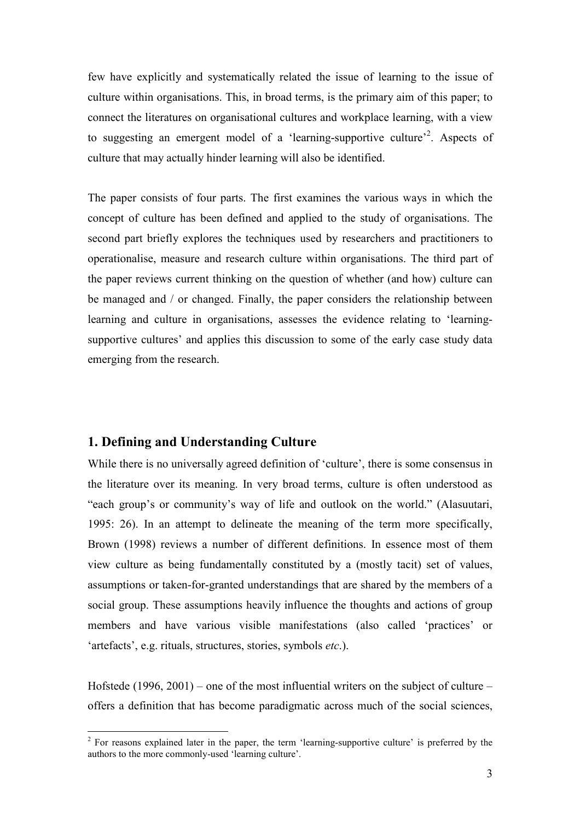few have explicitly and systematically related the issue of learning to the issue of culture within organisations. This, in broad terms, is the primary aim of this paper; to connect the literatures on organisational cultures and workplace learning, with a view to suggesting an emergent model of a 'learning-supportive culture'<sup>2</sup>. Aspects of culture that may actually hinder learning will also be identified.

The paper consists of four parts. The first examines the various ways in which the concept of culture has been defined and applied to the study of organisations. The second part briefly explores the techniques used by researchers and practitioners to operationalise, measure and research culture within organisations. The third part of the paper reviews current thinking on the question of whether (and how) culture can be managed and / or changed. Finally, the paper considers the relationship between learning and culture in organisations, assesses the evidence relating to 'learningsupportive cultures' and applies this discussion to some of the early case study data emerging from the research.

### 1. Defining and Understanding Culture

While there is no universally agreed definition of 'culture', there is some consensus in the literature over its meaning. In very broad terms, culture is often understood as "each group's or community's way of life and outlook on the world." (Alasuutari, 1995: 26). In an attempt to delineate the meaning of the term more specifically, Brown (1998) reviews a number of different definitions. In essence most of them view culture as being fundamentally constituted by a (mostly tacit) set of values, assumptions or taken-for-granted understandings that are shared by the members of a social group. These assumptions heavily influence the thoughts and actions of group members and have various visible manifestations (also called 'practices' or 'artefacts', e.g. rituals, structures, stories, symbols etc.).

Hofstede (1996, 2001) – one of the most influential writers on the subject of culture – offers a definition that has become paradigmatic across much of the social sciences,

<sup>&</sup>lt;sup>2</sup> For reasons explained later in the paper, the term 'learning-supportive culture' is preferred by the authors to the more commonly-used 'learning culture'.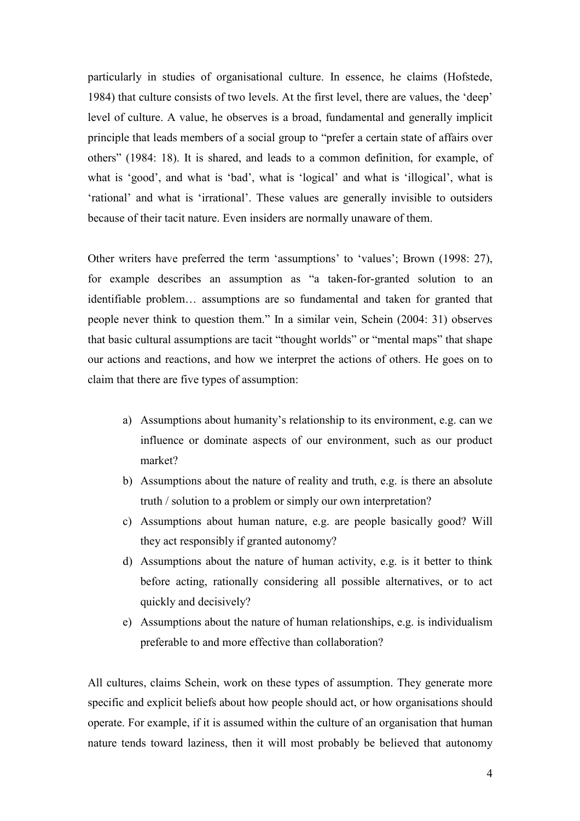particularly in studies of organisational culture. In essence, he claims (Hofstede, 1984) that culture consists of two levels. At the first level, there are values, the 'deep' level of culture. A value, he observes is a broad, fundamental and generally implicit principle that leads members of a social group to "prefer a certain state of affairs over others" (1984: 18). It is shared, and leads to a common definition, for example, of what is 'good', and what is 'bad', what is 'logical' and what is 'illogical', what is 'rational' and what is 'irrational'. These values are generally invisible to outsiders because of their tacit nature. Even insiders are normally unaware of them.

Other writers have preferred the term 'assumptions' to 'values'; Brown (1998: 27), for example describes an assumption as "a taken-for-granted solution to an identifiable problem… assumptions are so fundamental and taken for granted that people never think to question them." In a similar vein, Schein (2004: 31) observes that basic cultural assumptions are tacit "thought worlds" or "mental maps" that shape our actions and reactions, and how we interpret the actions of others. He goes on to claim that there are five types of assumption:

- a) Assumptions about humanity's relationship to its environment, e.g. can we influence or dominate aspects of our environment, such as our product market?
- b) Assumptions about the nature of reality and truth, e.g. is there an absolute truth / solution to a problem or simply our own interpretation?
- c) Assumptions about human nature, e.g. are people basically good? Will they act responsibly if granted autonomy?
- d) Assumptions about the nature of human activity, e.g. is it better to think before acting, rationally considering all possible alternatives, or to act quickly and decisively?
- e) Assumptions about the nature of human relationships, e.g. is individualism preferable to and more effective than collaboration?

All cultures, claims Schein, work on these types of assumption. They generate more specific and explicit beliefs about how people should act, or how organisations should operate. For example, if it is assumed within the culture of an organisation that human nature tends toward laziness, then it will most probably be believed that autonomy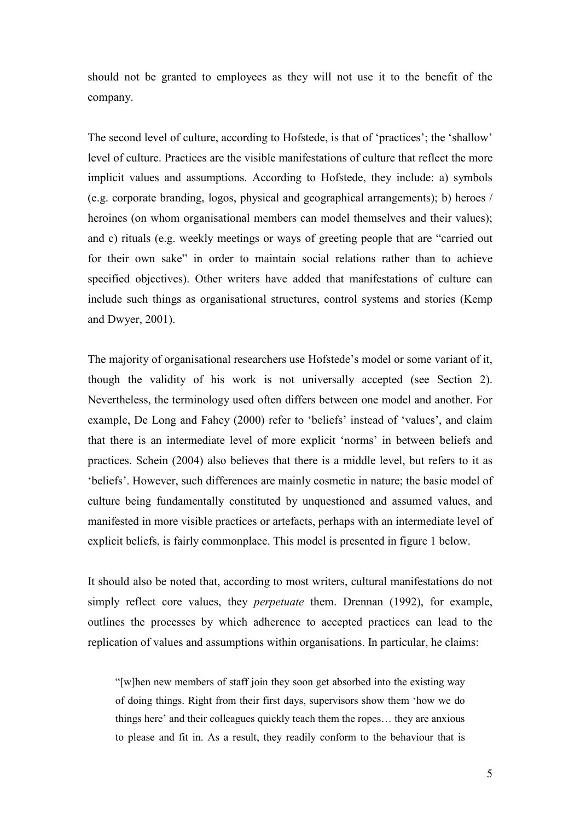should not be granted to employees as they will not use it to the benefit of the company.

The second level of culture, according to Hofstede, is that of 'practices'; the 'shallow' level of culture. Practices are the visible manifestations of culture that reflect the more implicit values and assumptions. According to Hofstede, they include: a) symbols (e.g. corporate branding, logos, physical and geographical arrangements); b) heroes / heroines (on whom organisational members can model themselves and their values); and c) rituals (e.g. weekly meetings or ways of greeting people that are "carried out for their own sake" in order to maintain social relations rather than to achieve specified objectives). Other writers have added that manifestations of culture can include such things as organisational structures, control systems and stories (Kemp and Dwyer, 2001).

The majority of organisational researchers use Hofstede's model or some variant of it, though the validity of his work is not universally accepted (see Section 2). Nevertheless, the terminology used often differs between one model and another. For example, De Long and Fahey (2000) refer to 'beliefs' instead of 'values', and claim that there is an intermediate level of more explicit 'norms' in between beliefs and practices. Schein (2004) also believes that there is a middle level, but refers to it as 'beliefs'. However, such differences are mainly cosmetic in nature; the basic model of culture being fundamentally constituted by unquestioned and assumed values, and manifested in more visible practices or artefacts, perhaps with an intermediate level of explicit beliefs, is fairly commonplace. This model is presented in figure 1 below.

It should also be noted that, according to most writers, cultural manifestations do not simply reflect core values, they *perpetuate* them. Drennan (1992), for example, outlines the processes by which adherence to accepted practices can lead to the replication of values and assumptions within organisations. In particular, he claims:

"[w]hen new members of staff join they soon get absorbed into the existing way of doing things. Right from their first days, supervisors show them 'how we do things here' and their colleagues quickly teach them the ropes… they are anxious to please and fit in. As a result, they readily conform to the behaviour that is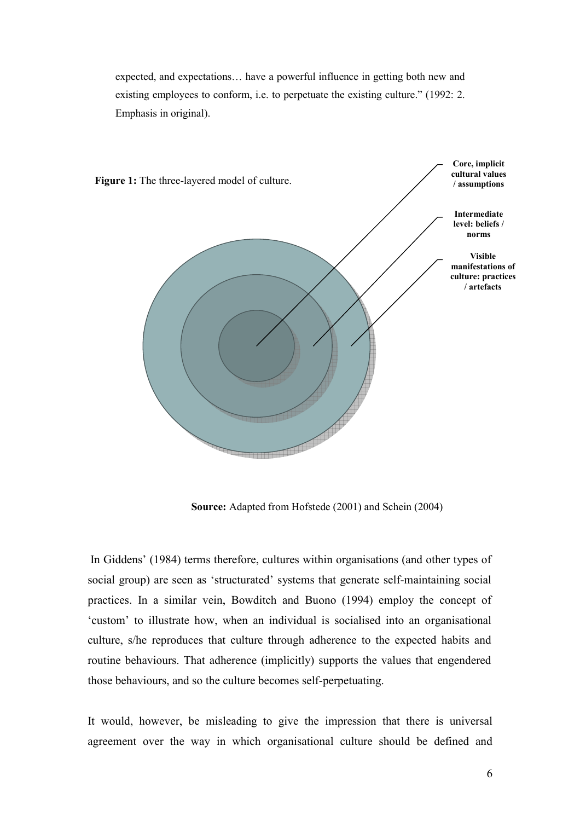expected, and expectations… have a powerful influence in getting both new and existing employees to conform, i.e. to perpetuate the existing culture." (1992: 2. Emphasis in original).



Source: Adapted from Hofstede (2001) and Schein (2004)

In Giddens' (1984) terms therefore, cultures within organisations (and other types of social group) are seen as 'structurated' systems that generate self-maintaining social practices. In a similar vein, Bowditch and Buono (1994) employ the concept of 'custom' to illustrate how, when an individual is socialised into an organisational culture, s/he reproduces that culture through adherence to the expected habits and routine behaviours. That adherence (implicitly) supports the values that engendered those behaviours, and so the culture becomes self-perpetuating.

It would, however, be misleading to give the impression that there is universal agreement over the way in which organisational culture should be defined and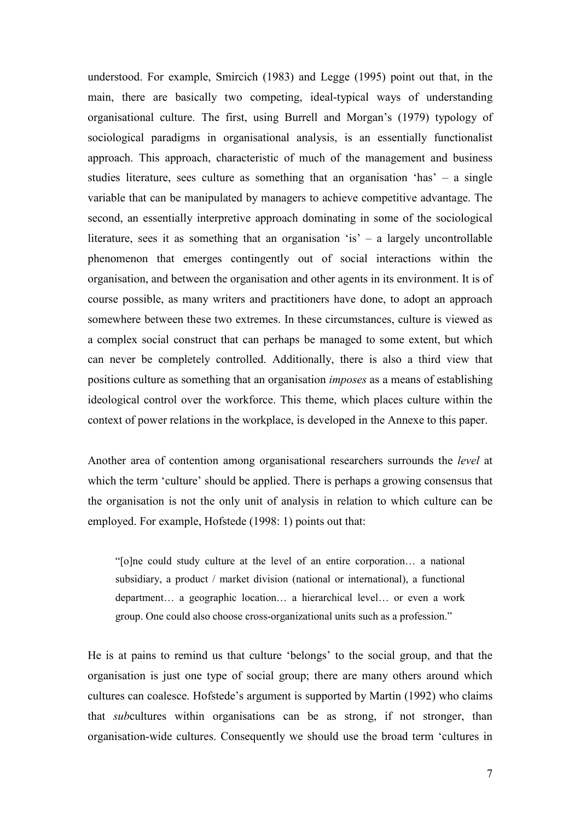understood. For example, Smircich (1983) and Legge (1995) point out that, in the main, there are basically two competing, ideal-typical ways of understanding organisational culture. The first, using Burrell and Morgan's (1979) typology of sociological paradigms in organisational analysis, is an essentially functionalist approach. This approach, characteristic of much of the management and business studies literature, sees culture as something that an organisation 'has' – a single variable that can be manipulated by managers to achieve competitive advantage. The second, an essentially interpretive approach dominating in some of the sociological literature, sees it as something that an organisation 'is' – a largely uncontrollable phenomenon that emerges contingently out of social interactions within the organisation, and between the organisation and other agents in its environment. It is of course possible, as many writers and practitioners have done, to adopt an approach somewhere between these two extremes. In these circumstances, culture is viewed as a complex social construct that can perhaps be managed to some extent, but which can never be completely controlled. Additionally, there is also a third view that positions culture as something that an organisation imposes as a means of establishing ideological control over the workforce. This theme, which places culture within the context of power relations in the workplace, is developed in the Annexe to this paper.

Another area of contention among organisational researchers surrounds the level at which the term 'culture' should be applied. There is perhaps a growing consensus that the organisation is not the only unit of analysis in relation to which culture can be employed. For example, Hofstede (1998: 1) points out that:

"[o]ne could study culture at the level of an entire corporation… a national subsidiary, a product / market division (national or international), a functional department… a geographic location… a hierarchical level… or even a work group. One could also choose cross-organizational units such as a profession."

He is at pains to remind us that culture 'belongs' to the social group, and that the organisation is just one type of social group; there are many others around which cultures can coalesce. Hofstede's argument is supported by Martin (1992) who claims that subcultures within organisations can be as strong, if not stronger, than organisation-wide cultures. Consequently we should use the broad term 'cultures in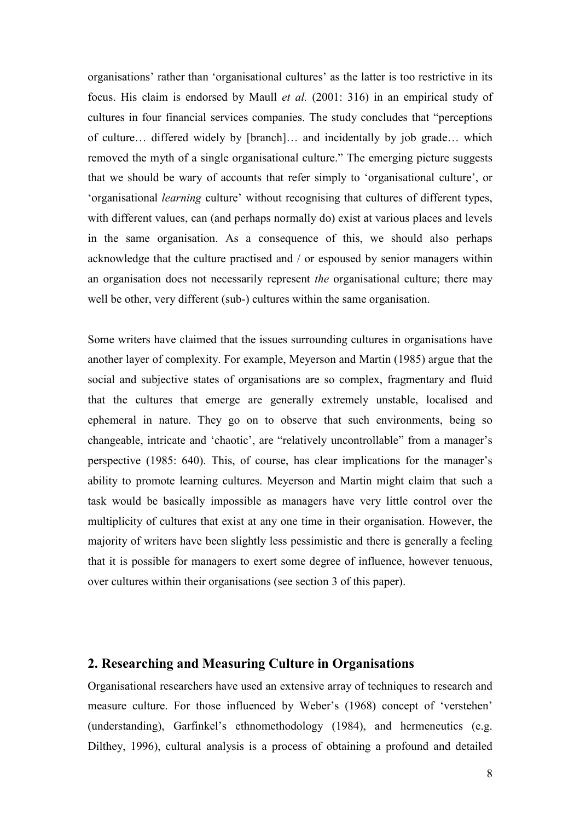organisations' rather than 'organisational cultures' as the latter is too restrictive in its focus. His claim is endorsed by Maull et al. (2001: 316) in an empirical study of cultures in four financial services companies. The study concludes that "perceptions of culture… differed widely by [branch]… and incidentally by job grade… which removed the myth of a single organisational culture." The emerging picture suggests that we should be wary of accounts that refer simply to 'organisational culture', or 'organisational learning culture' without recognising that cultures of different types, with different values, can (and perhaps normally do) exist at various places and levels in the same organisation. As a consequence of this, we should also perhaps acknowledge that the culture practised and / or espoused by senior managers within an organisation does not necessarily represent the organisational culture; there may well be other, very different (sub-) cultures within the same organisation.

Some writers have claimed that the issues surrounding cultures in organisations have another layer of complexity. For example, Meyerson and Martin (1985) argue that the social and subjective states of organisations are so complex, fragmentary and fluid that the cultures that emerge are generally extremely unstable, localised and ephemeral in nature. They go on to observe that such environments, being so changeable, intricate and 'chaotic', are "relatively uncontrollable" from a manager's perspective (1985: 640). This, of course, has clear implications for the manager's ability to promote learning cultures. Meyerson and Martin might claim that such a task would be basically impossible as managers have very little control over the multiplicity of cultures that exist at any one time in their organisation. However, the majority of writers have been slightly less pessimistic and there is generally a feeling that it is possible for managers to exert some degree of influence, however tenuous, over cultures within their organisations (see section 3 of this paper).

### 2. Researching and Measuring Culture in Organisations

Organisational researchers have used an extensive array of techniques to research and measure culture. For those influenced by Weber's (1968) concept of 'verstehen' (understanding), Garfinkel's ethnomethodology (1984), and hermeneutics (e.g. Dilthey, 1996), cultural analysis is a process of obtaining a profound and detailed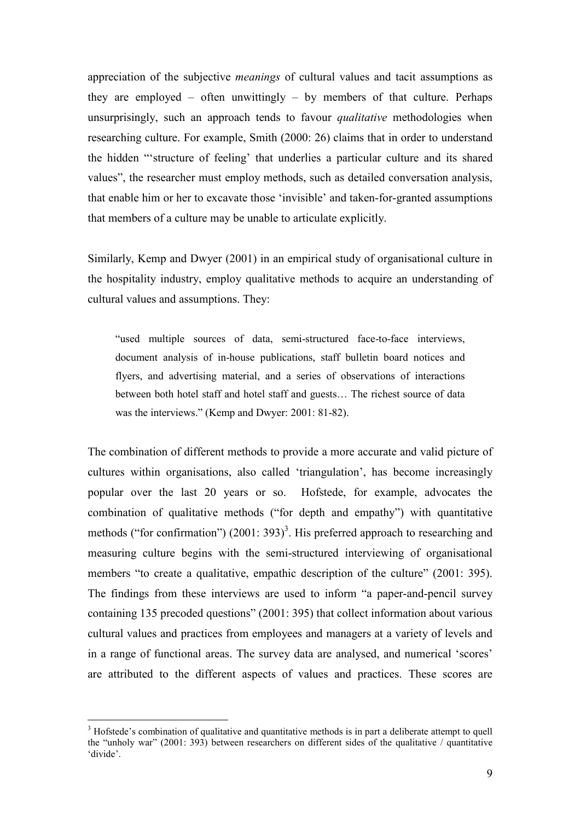appreciation of the subjective meanings of cultural values and tacit assumptions as they are employed – often unwittingly – by members of that culture. Perhaps unsurprisingly, such an approach tends to favour qualitative methodologies when researching culture. For example, Smith (2000: 26) claims that in order to understand the hidden "'structure of feeling' that underlies a particular culture and its shared values", the researcher must employ methods, such as detailed conversation analysis, that enable him or her to excavate those 'invisible' and taken-for-granted assumptions that members of a culture may be unable to articulate explicitly.

Similarly, Kemp and Dwyer (2001) in an empirical study of organisational culture in the hospitality industry, employ qualitative methods to acquire an understanding of cultural values and assumptions. They:

"used multiple sources of data, semi-structured face-to-face interviews, document analysis of in-house publications, staff bulletin board notices and flyers, and advertising material, and a series of observations of interactions between both hotel staff and hotel staff and guests… The richest source of data was the interviews." (Kemp and Dwyer: 2001: 81-82).

The combination of different methods to provide a more accurate and valid picture of cultures within organisations, also called 'triangulation', has become increasingly popular over the last 20 years or so. Hofstede, for example, advocates the combination of qualitative methods ("for depth and empathy") with quantitative methods ("for confirmation")  $(2001: 393)^3$ . His preferred approach to researching and measuring culture begins with the semi-structured interviewing of organisational members "to create a qualitative, empathic description of the culture" (2001: 395). The findings from these interviews are used to inform "a paper-and-pencil survey containing 135 precoded questions" (2001: 395) that collect information about various cultural values and practices from employees and managers at a variety of levels and in a range of functional areas. The survey data are analysed, and numerical 'scores' are attributed to the different aspects of values and practices. These scores are

 $\overline{a}$ 

<sup>&</sup>lt;sup>3</sup> Hofstede's combination of qualitative and quantitative methods is in part a deliberate attempt to quell the "unholy war" (2001: 393) between researchers on different sides of the qualitative / quantitative 'divide'.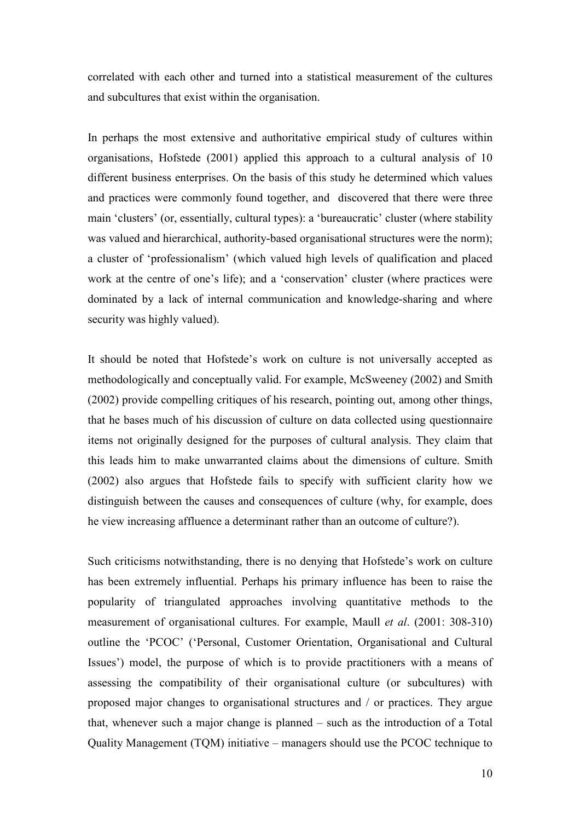correlated with each other and turned into a statistical measurement of the cultures and subcultures that exist within the organisation.

In perhaps the most extensive and authoritative empirical study of cultures within organisations, Hofstede (2001) applied this approach to a cultural analysis of 10 different business enterprises. On the basis of this study he determined which values and practices were commonly found together, and discovered that there were three main 'clusters' (or, essentially, cultural types): a 'bureaucratic' cluster (where stability was valued and hierarchical, authority-based organisational structures were the norm); a cluster of 'professionalism' (which valued high levels of qualification and placed work at the centre of one's life); and a 'conservation' cluster (where practices were dominated by a lack of internal communication and knowledge-sharing and where security was highly valued).

It should be noted that Hofstede's work on culture is not universally accepted as methodologically and conceptually valid. For example, McSweeney (2002) and Smith (2002) provide compelling critiques of his research, pointing out, among other things, that he bases much of his discussion of culture on data collected using questionnaire items not originally designed for the purposes of cultural analysis. They claim that this leads him to make unwarranted claims about the dimensions of culture. Smith (2002) also argues that Hofstede fails to specify with sufficient clarity how we distinguish between the causes and consequences of culture (why, for example, does he view increasing affluence a determinant rather than an outcome of culture?).

Such criticisms notwithstanding, there is no denying that Hofstede's work on culture has been extremely influential. Perhaps his primary influence has been to raise the popularity of triangulated approaches involving quantitative methods to the measurement of organisational cultures. For example, Maull *et al.* (2001: 308-310) outline the 'PCOC' ('Personal, Customer Orientation, Organisational and Cultural Issues') model, the purpose of which is to provide practitioners with a means of assessing the compatibility of their organisational culture (or subcultures) with proposed major changes to organisational structures and / or practices. They argue that, whenever such a major change is planned – such as the introduction of a Total Quality Management (TQM) initiative – managers should use the PCOC technique to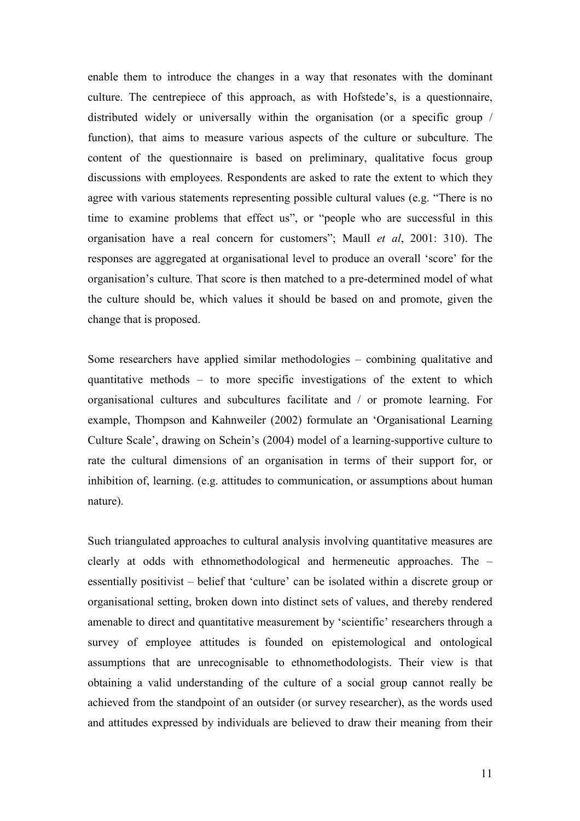enable them to introduce the changes in a way that resonates with the dominant culture. The centrepiece of this approach, as with Hofstede's, is a questionnaire, distributed widely or universally within the organisation (or a specific group / function), that aims to measure various aspects of the culture or subculture. The content of the questionnaire is based on preliminary, qualitative focus group discussions with employees. Respondents are asked to rate the extent to which they agree with various statements representing possible cultural values (e.g. "There is no time to examine problems that effect us", or "people who are successful in this organisation have a real concern for customers"; Maull et al, 2001: 310). The responses are aggregated at organisational level to produce an overall 'score' for the organisation's culture. That score is then matched to a pre-determined model of what the culture should be, which values it should be based on and promote, given the change that is proposed.

Some researchers have applied similar methodologies – combining qualitative and quantitative methods – to more specific investigations of the extent to which organisational cultures and subcultures facilitate and / or promote learning. For example, Thompson and Kahnweiler (2002) formulate an 'Organisational Learning Culture Scale', drawing on Schein's (2004) model of a learning-supportive culture to rate the cultural dimensions of an organisation in terms of their support for, or inhibition of, learning. (e.g. attitudes to communication, or assumptions about human nature).

Such triangulated approaches to cultural analysis involving quantitative measures are clearly at odds with ethnomethodological and hermeneutic approaches. The – essentially positivist – belief that 'culture' can be isolated within a discrete group or organisational setting, broken down into distinct sets of values, and thereby rendered amenable to direct and quantitative measurement by 'scientific' researchers through a survey of employee attitudes is founded on epistemological and ontological assumptions that are unrecognisable to ethnomethodologists. Their view is that obtaining a valid understanding of the culture of a social group cannot really be achieved from the standpoint of an outsider (or survey researcher), as the words used and attitudes expressed by individuals are believed to draw their meaning from their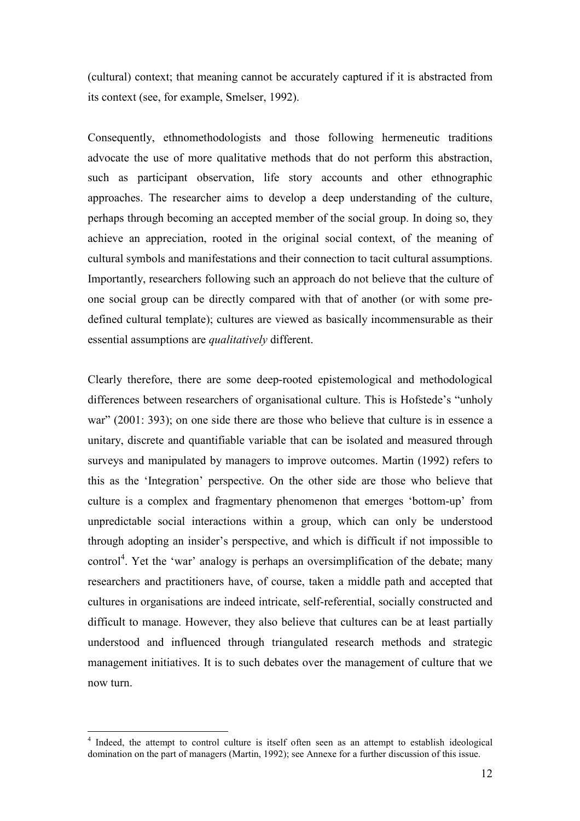(cultural) context; that meaning cannot be accurately captured if it is abstracted from its context (see, for example, Smelser, 1992).

Consequently, ethnomethodologists and those following hermeneutic traditions advocate the use of more qualitative methods that do not perform this abstraction, such as participant observation, life story accounts and other ethnographic approaches. The researcher aims to develop a deep understanding of the culture, perhaps through becoming an accepted member of the social group. In doing so, they achieve an appreciation, rooted in the original social context, of the meaning of cultural symbols and manifestations and their connection to tacit cultural assumptions. Importantly, researchers following such an approach do not believe that the culture of one social group can be directly compared with that of another (or with some predefined cultural template); cultures are viewed as basically incommensurable as their essential assumptions are qualitatively different.

Clearly therefore, there are some deep-rooted epistemological and methodological differences between researchers of organisational culture. This is Hofstede's "unholy war" (2001: 393); on one side there are those who believe that culture is in essence a unitary, discrete and quantifiable variable that can be isolated and measured through surveys and manipulated by managers to improve outcomes. Martin (1992) refers to this as the 'Integration' perspective. On the other side are those who believe that culture is a complex and fragmentary phenomenon that emerges 'bottom-up' from unpredictable social interactions within a group, which can only be understood through adopting an insider's perspective, and which is difficult if not impossible to control<sup>4</sup>. Yet the 'war' analogy is perhaps an oversimplification of the debate; many researchers and practitioners have, of course, taken a middle path and accepted that cultures in organisations are indeed intricate, self-referential, socially constructed and difficult to manage. However, they also believe that cultures can be at least partially understood and influenced through triangulated research methods and strategic management initiatives. It is to such debates over the management of culture that we now turn.

 $\overline{a}$ <sup>4</sup> Indeed, the attempt to control culture is itself often seen as an attempt to establish ideological domination on the part of managers (Martin, 1992); see Annexe for a further discussion of this issue.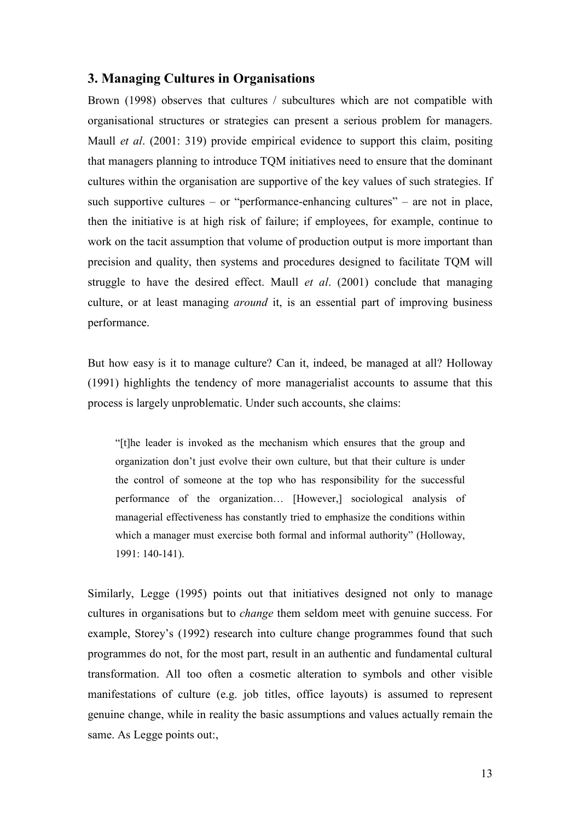### 3. Managing Cultures in Organisations

Brown (1998) observes that cultures / subcultures which are not compatible with organisational structures or strategies can present a serious problem for managers. Maull *et al.* (2001: 319) provide empirical evidence to support this claim, positing that managers planning to introduce TQM initiatives need to ensure that the dominant cultures within the organisation are supportive of the key values of such strategies. If such supportive cultures – or "performance-enhancing cultures" – are not in place, then the initiative is at high risk of failure; if employees, for example, continue to work on the tacit assumption that volume of production output is more important than precision and quality, then systems and procedures designed to facilitate TQM will struggle to have the desired effect. Maull *et al.* (2001) conclude that managing culture, or at least managing *around* it, is an essential part of improving business performance.

But how easy is it to manage culture? Can it, indeed, be managed at all? Holloway (1991) highlights the tendency of more managerialist accounts to assume that this process is largely unproblematic. Under such accounts, she claims:

"[t]he leader is invoked as the mechanism which ensures that the group and organization don't just evolve their own culture, but that their culture is under the control of someone at the top who has responsibility for the successful performance of the organization… [However,] sociological analysis of managerial effectiveness has constantly tried to emphasize the conditions within which a manager must exercise both formal and informal authority" (Holloway, 1991: 140-141).

Similarly, Legge (1995) points out that initiatives designed not only to manage cultures in organisations but to change them seldom meet with genuine success. For example, Storey's (1992) research into culture change programmes found that such programmes do not, for the most part, result in an authentic and fundamental cultural transformation. All too often a cosmetic alteration to symbols and other visible manifestations of culture (e.g. job titles, office layouts) is assumed to represent genuine change, while in reality the basic assumptions and values actually remain the same. As Legge points out:,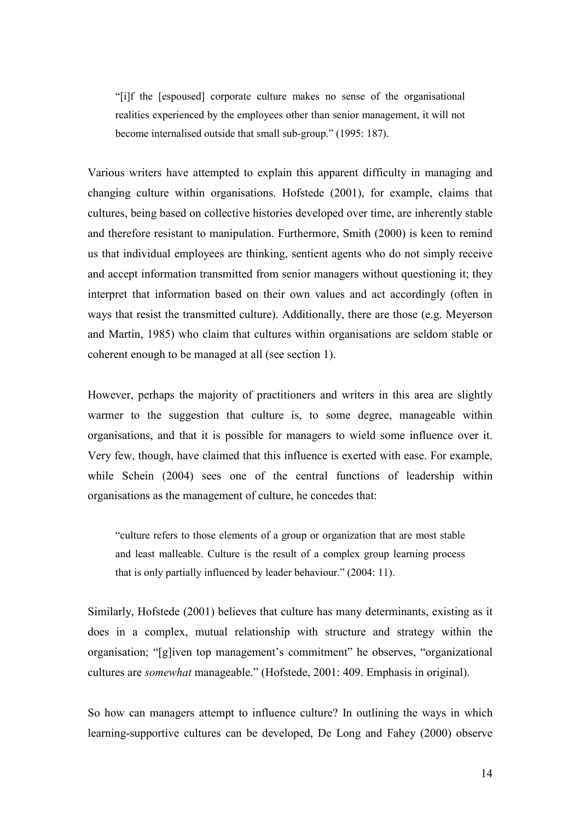"[i]f the [espoused] corporate culture makes no sense of the organisational realities experienced by the employees other than senior management, it will not become internalised outside that small sub-group." (1995: 187).

Various writers have attempted to explain this apparent difficulty in managing and changing culture within organisations. Hofstede (2001), for example, claims that cultures, being based on collective histories developed over time, are inherently stable and therefore resistant to manipulation. Furthermore, Smith (2000) is keen to remind us that individual employees are thinking, sentient agents who do not simply receive and accept information transmitted from senior managers without questioning it; they interpret that information based on their own values and act accordingly (often in ways that resist the transmitted culture). Additionally, there are those (e.g. Meyerson and Martin, 1985) who claim that cultures within organisations are seldom stable or coherent enough to be managed at all (see section 1).

However, perhaps the majority of practitioners and writers in this area are slightly warmer to the suggestion that culture is, to some degree, manageable within organisations, and that it is possible for managers to wield some influence over it. Very few, though, have claimed that this influence is exerted with ease. For example, while Schein (2004) sees one of the central functions of leadership within organisations as the management of culture, he concedes that:

"culture refers to those elements of a group or organization that are most stable and least malleable. Culture is the result of a complex group learning process that is only partially influenced by leader behaviour." (2004: 11).

Similarly, Hofstede (2001) believes that culture has many determinants, existing as it does in a complex, mutual relationship with structure and strategy within the organisation; "[g]iven top management's commitment" he observes, "organizational cultures are somewhat manageable." (Hofstede, 2001: 409. Emphasis in original).

So how can managers attempt to influence culture? In outlining the ways in which learning-supportive cultures can be developed, De Long and Fahey (2000) observe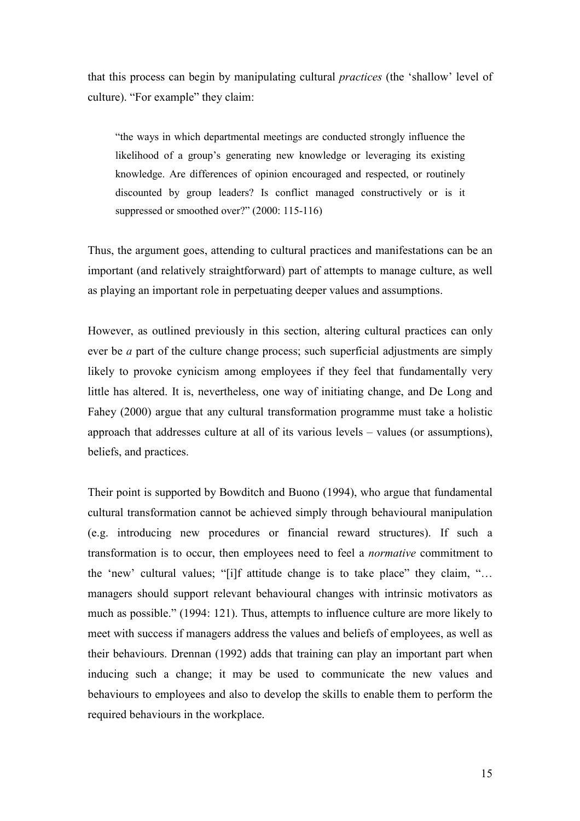that this process can begin by manipulating cultural practices (the 'shallow' level of culture). "For example" they claim:

"the ways in which departmental meetings are conducted strongly influence the likelihood of a group's generating new knowledge or leveraging its existing knowledge. Are differences of opinion encouraged and respected, or routinely discounted by group leaders? Is conflict managed constructively or is it suppressed or smoothed over?" (2000: 115-116)

Thus, the argument goes, attending to cultural practices and manifestations can be an important (and relatively straightforward) part of attempts to manage culture, as well as playing an important role in perpetuating deeper values and assumptions.

However, as outlined previously in this section, altering cultural practices can only ever be a part of the culture change process; such superficial adjustments are simply likely to provoke cynicism among employees if they feel that fundamentally very little has altered. It is, nevertheless, one way of initiating change, and De Long and Fahey (2000) argue that any cultural transformation programme must take a holistic approach that addresses culture at all of its various levels – values (or assumptions), beliefs, and practices.

Their point is supported by Bowditch and Buono (1994), who argue that fundamental cultural transformation cannot be achieved simply through behavioural manipulation (e.g. introducing new procedures or financial reward structures). If such a transformation is to occur, then employees need to feel a normative commitment to the 'new' cultural values; "[i]f attitude change is to take place" they claim, "… managers should support relevant behavioural changes with intrinsic motivators as much as possible." (1994: 121). Thus, attempts to influence culture are more likely to meet with success if managers address the values and beliefs of employees, as well as their behaviours. Drennan (1992) adds that training can play an important part when inducing such a change; it may be used to communicate the new values and behaviours to employees and also to develop the skills to enable them to perform the required behaviours in the workplace.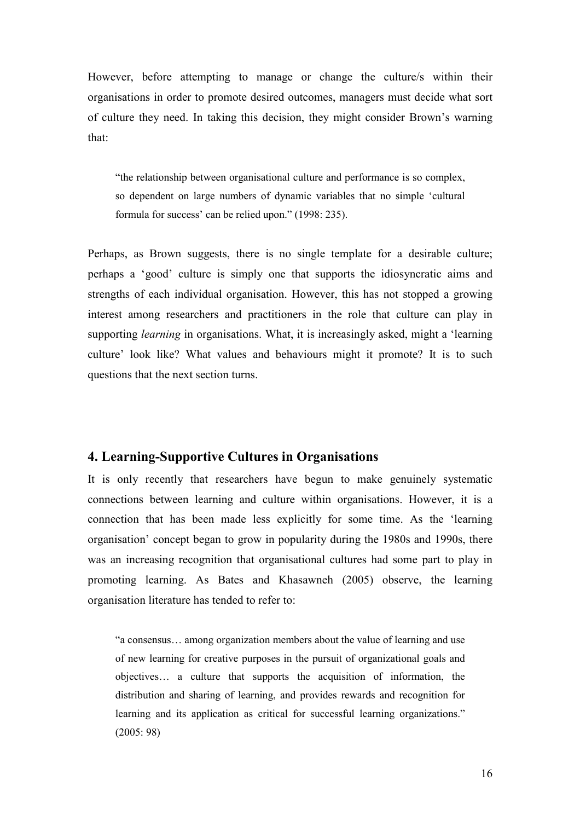However, before attempting to manage or change the culture/s within their organisations in order to promote desired outcomes, managers must decide what sort of culture they need. In taking this decision, they might consider Brown's warning that:

"the relationship between organisational culture and performance is so complex, so dependent on large numbers of dynamic variables that no simple 'cultural formula for success' can be relied upon." (1998: 235).

Perhaps, as Brown suggests, there is no single template for a desirable culture; perhaps a 'good' culture is simply one that supports the idiosyncratic aims and strengths of each individual organisation. However, this has not stopped a growing interest among researchers and practitioners in the role that culture can play in supporting *learning* in organisations. What, it is increasingly asked, might a 'learning culture' look like? What values and behaviours might it promote? It is to such questions that the next section turns.

## 4. Learning-Supportive Cultures in Organisations

It is only recently that researchers have begun to make genuinely systematic connections between learning and culture within organisations. However, it is a connection that has been made less explicitly for some time. As the 'learning organisation' concept began to grow in popularity during the 1980s and 1990s, there was an increasing recognition that organisational cultures had some part to play in promoting learning. As Bates and Khasawneh (2005) observe, the learning organisation literature has tended to refer to:

"a consensus… among organization members about the value of learning and use of new learning for creative purposes in the pursuit of organizational goals and objectives… a culture that supports the acquisition of information, the distribution and sharing of learning, and provides rewards and recognition for learning and its application as critical for successful learning organizations." (2005: 98)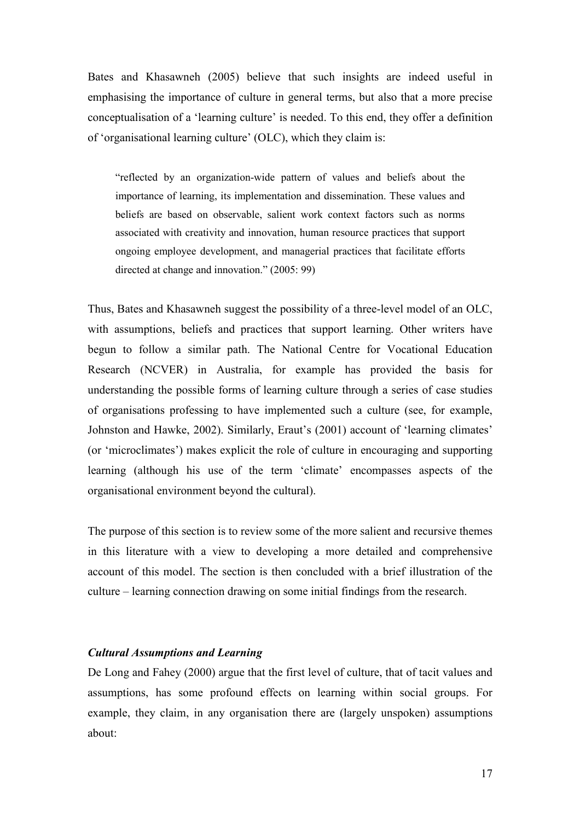Bates and Khasawneh (2005) believe that such insights are indeed useful in emphasising the importance of culture in general terms, but also that a more precise conceptualisation of a 'learning culture' is needed. To this end, they offer a definition of 'organisational learning culture' (OLC), which they claim is:

"reflected by an organization-wide pattern of values and beliefs about the importance of learning, its implementation and dissemination. These values and beliefs are based on observable, salient work context factors such as norms associated with creativity and innovation, human resource practices that support ongoing employee development, and managerial practices that facilitate efforts directed at change and innovation." (2005: 99)

Thus, Bates and Khasawneh suggest the possibility of a three-level model of an OLC, with assumptions, beliefs and practices that support learning. Other writers have begun to follow a similar path. The National Centre for Vocational Education Research (NCVER) in Australia, for example has provided the basis for understanding the possible forms of learning culture through a series of case studies of organisations professing to have implemented such a culture (see, for example, Johnston and Hawke, 2002). Similarly, Eraut's (2001) account of 'learning climates' (or 'microclimates') makes explicit the role of culture in encouraging and supporting learning (although his use of the term 'climate' encompasses aspects of the organisational environment beyond the cultural).

The purpose of this section is to review some of the more salient and recursive themes in this literature with a view to developing a more detailed and comprehensive account of this model. The section is then concluded with a brief illustration of the culture – learning connection drawing on some initial findings from the research.

#### Cultural Assumptions and Learning

De Long and Fahey (2000) argue that the first level of culture, that of tacit values and assumptions, has some profound effects on learning within social groups. For example, they claim, in any organisation there are (largely unspoken) assumptions about: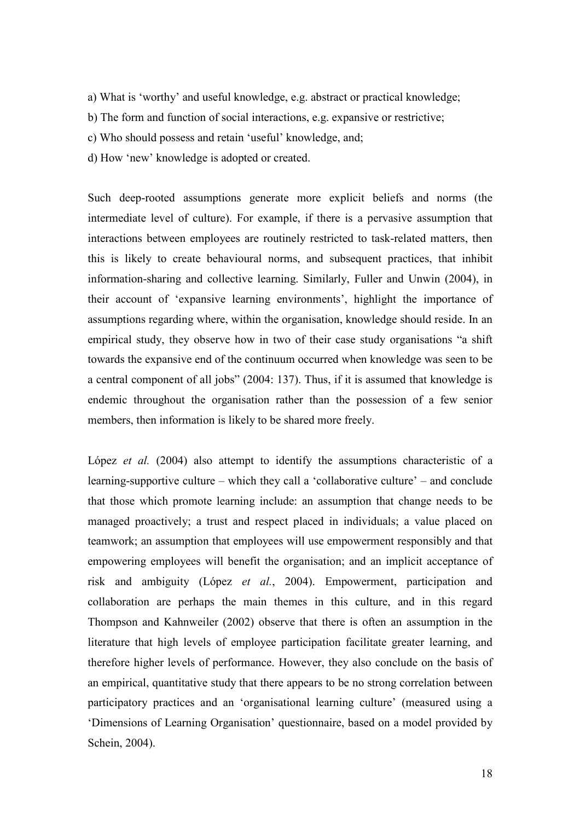- a) What is 'worthy' and useful knowledge, e.g. abstract or practical knowledge;
- b) The form and function of social interactions, e.g. expansive or restrictive;
- c) Who should possess and retain 'useful' knowledge, and;
- d) How 'new' knowledge is adopted or created.

Such deep-rooted assumptions generate more explicit beliefs and norms (the intermediate level of culture). For example, if there is a pervasive assumption that interactions between employees are routinely restricted to task-related matters, then this is likely to create behavioural norms, and subsequent practices, that inhibit information-sharing and collective learning. Similarly, Fuller and Unwin (2004), in their account of 'expansive learning environments', highlight the importance of assumptions regarding where, within the organisation, knowledge should reside. In an empirical study, they observe how in two of their case study organisations "a shift towards the expansive end of the continuum occurred when knowledge was seen to be a central component of all jobs" (2004: 137). Thus, if it is assumed that knowledge is endemic throughout the organisation rather than the possession of a few senior members, then information is likely to be shared more freely.

López *et al.* (2004) also attempt to identify the assumptions characteristic of a learning-supportive culture – which they call a 'collaborative culture' – and conclude that those which promote learning include: an assumption that change needs to be managed proactively; a trust and respect placed in individuals; a value placed on teamwork; an assumption that employees will use empowerment responsibly and that empowering employees will benefit the organisation; and an implicit acceptance of risk and ambiguity (López et al., 2004). Empowerment, participation and collaboration are perhaps the main themes in this culture, and in this regard Thompson and Kahnweiler (2002) observe that there is often an assumption in the literature that high levels of employee participation facilitate greater learning, and therefore higher levels of performance. However, they also conclude on the basis of an empirical, quantitative study that there appears to be no strong correlation between participatory practices and an 'organisational learning culture' (measured using a 'Dimensions of Learning Organisation' questionnaire, based on a model provided by Schein, 2004).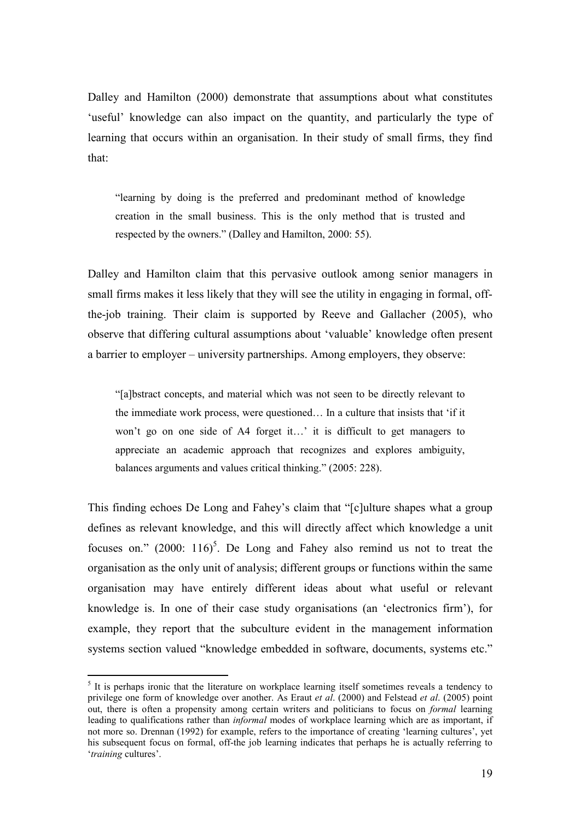Dalley and Hamilton (2000) demonstrate that assumptions about what constitutes 'useful' knowledge can also impact on the quantity, and particularly the type of learning that occurs within an organisation. In their study of small firms, they find that:

"learning by doing is the preferred and predominant method of knowledge creation in the small business. This is the only method that is trusted and respected by the owners." (Dalley and Hamilton, 2000: 55).

Dalley and Hamilton claim that this pervasive outlook among senior managers in small firms makes it less likely that they will see the utility in engaging in formal, offthe-job training. Their claim is supported by Reeve and Gallacher (2005), who observe that differing cultural assumptions about 'valuable' knowledge often present a barrier to employer – university partnerships. Among employers, they observe:

"[a]bstract concepts, and material which was not seen to be directly relevant to the immediate work process, were questioned… In a culture that insists that 'if it won't go on one side of A4 forget it...' it is difficult to get managers to appreciate an academic approach that recognizes and explores ambiguity, balances arguments and values critical thinking." (2005: 228).

This finding echoes De Long and Fahey's claim that "[c]ulture shapes what a group defines as relevant knowledge, and this will directly affect which knowledge a unit focuses on."  $(2000: 116)^5$ . De Long and Fahey also remind us not to treat the organisation as the only unit of analysis; different groups or functions within the same organisation may have entirely different ideas about what useful or relevant knowledge is. In one of their case study organisations (an 'electronics firm'), for example, they report that the subculture evident in the management information systems section valued "knowledge embedded in software, documents, systems etc."

 $\overline{a}$ 

<sup>&</sup>lt;sup>5</sup> It is perhaps ironic that the literature on workplace learning itself sometimes reveals a tendency to privilege one form of knowledge over another. As Eraut *et al.* (2000) and Felstead *et al.* (2005) point out, there is often a propensity among certain writers and politicians to focus on formal learning leading to qualifications rather than informal modes of workplace learning which are as important, if not more so. Drennan (1992) for example, refers to the importance of creating 'learning cultures', yet his subsequent focus on formal, off-the job learning indicates that perhaps he is actually referring to 'training cultures'.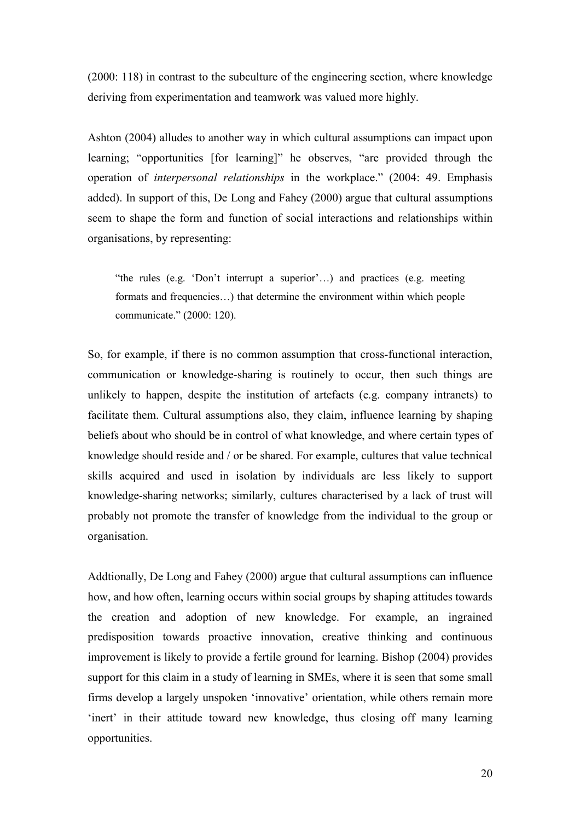(2000: 118) in contrast to the subculture of the engineering section, where knowledge deriving from experimentation and teamwork was valued more highly.

Ashton (2004) alludes to another way in which cultural assumptions can impact upon learning; "opportunities [for learning]" he observes, "are provided through the operation of interpersonal relationships in the workplace." (2004: 49. Emphasis added). In support of this, De Long and Fahey (2000) argue that cultural assumptions seem to shape the form and function of social interactions and relationships within organisations, by representing:

"the rules (e.g. 'Don't interrupt a superior'…) and practices (e.g. meeting formats and frequencies…) that determine the environment within which people communicate." (2000: 120).

So, for example, if there is no common assumption that cross-functional interaction, communication or knowledge-sharing is routinely to occur, then such things are unlikely to happen, despite the institution of artefacts (e.g. company intranets) to facilitate them. Cultural assumptions also, they claim, influence learning by shaping beliefs about who should be in control of what knowledge, and where certain types of knowledge should reside and / or be shared. For example, cultures that value technical skills acquired and used in isolation by individuals are less likely to support knowledge-sharing networks; similarly, cultures characterised by a lack of trust will probably not promote the transfer of knowledge from the individual to the group or organisation.

Addtionally, De Long and Fahey (2000) argue that cultural assumptions can influence how, and how often, learning occurs within social groups by shaping attitudes towards the creation and adoption of new knowledge. For example, an ingrained predisposition towards proactive innovation, creative thinking and continuous improvement is likely to provide a fertile ground for learning. Bishop (2004) provides support for this claim in a study of learning in SMEs, where it is seen that some small firms develop a largely unspoken 'innovative' orientation, while others remain more 'inert' in their attitude toward new knowledge, thus closing off many learning opportunities.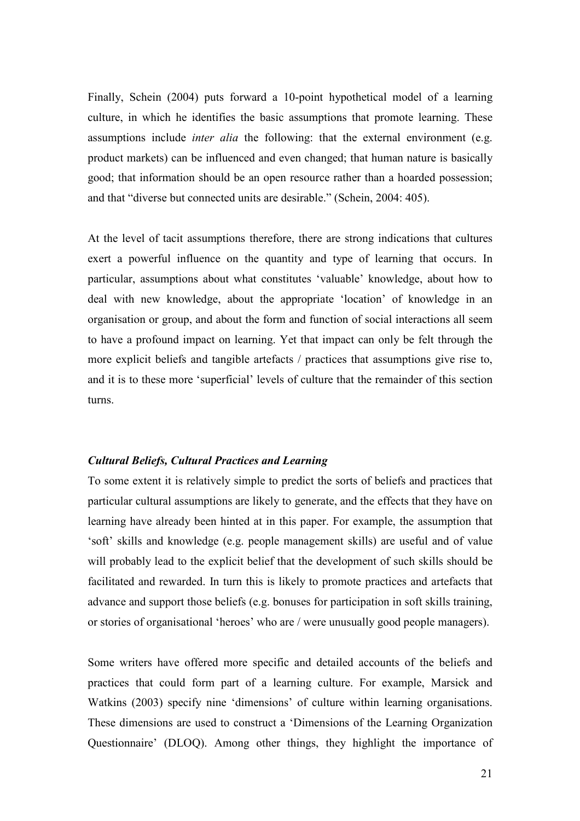Finally, Schein (2004) puts forward a 10-point hypothetical model of a learning culture, in which he identifies the basic assumptions that promote learning. These assumptions include *inter alia* the following: that the external environment (e.g. product markets) can be influenced and even changed; that human nature is basically good; that information should be an open resource rather than a hoarded possession; and that "diverse but connected units are desirable." (Schein, 2004: 405).

At the level of tacit assumptions therefore, there are strong indications that cultures exert a powerful influence on the quantity and type of learning that occurs. In particular, assumptions about what constitutes 'valuable' knowledge, about how to deal with new knowledge, about the appropriate 'location' of knowledge in an organisation or group, and about the form and function of social interactions all seem to have a profound impact on learning. Yet that impact can only be felt through the more explicit beliefs and tangible artefacts / practices that assumptions give rise to, and it is to these more 'superficial' levels of culture that the remainder of this section turns.

#### Cultural Beliefs, Cultural Practices and Learning

To some extent it is relatively simple to predict the sorts of beliefs and practices that particular cultural assumptions are likely to generate, and the effects that they have on learning have already been hinted at in this paper. For example, the assumption that 'soft' skills and knowledge (e.g. people management skills) are useful and of value will probably lead to the explicit belief that the development of such skills should be facilitated and rewarded. In turn this is likely to promote practices and artefacts that advance and support those beliefs (e.g. bonuses for participation in soft skills training, or stories of organisational 'heroes' who are / were unusually good people managers).

Some writers have offered more specific and detailed accounts of the beliefs and practices that could form part of a learning culture. For example, Marsick and Watkins (2003) specify nine 'dimensions' of culture within learning organisations. These dimensions are used to construct a 'Dimensions of the Learning Organization Questionnaire' (DLOQ). Among other things, they highlight the importance of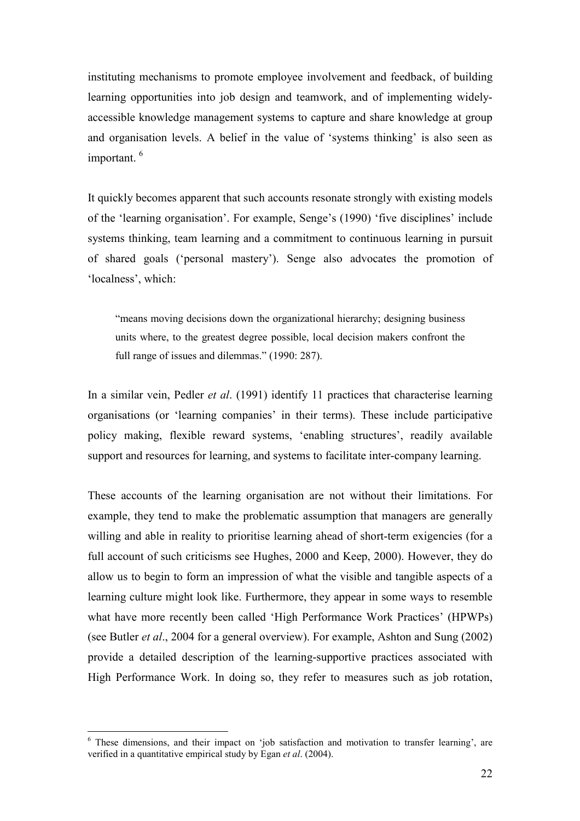instituting mechanisms to promote employee involvement and feedback, of building learning opportunities into job design and teamwork, and of implementing widelyaccessible knowledge management systems to capture and share knowledge at group and organisation levels. A belief in the value of 'systems thinking' is also seen as important.<sup>6</sup>

It quickly becomes apparent that such accounts resonate strongly with existing models of the 'learning organisation'. For example, Senge's (1990) 'five disciplines' include systems thinking, team learning and a commitment to continuous learning in pursuit of shared goals ('personal mastery'). Senge also advocates the promotion of 'localness', which:

"means moving decisions down the organizational hierarchy; designing business units where, to the greatest degree possible, local decision makers confront the full range of issues and dilemmas." (1990: 287).

In a similar vein, Pedler *et al.* (1991) identify 11 practices that characterise learning organisations (or 'learning companies' in their terms). These include participative policy making, flexible reward systems, 'enabling structures', readily available support and resources for learning, and systems to facilitate inter-company learning.

These accounts of the learning organisation are not without their limitations. For example, they tend to make the problematic assumption that managers are generally willing and able in reality to prioritise learning ahead of short-term exigencies (for a full account of such criticisms see Hughes, 2000 and Keep, 2000). However, they do allow us to begin to form an impression of what the visible and tangible aspects of a learning culture might look like. Furthermore, they appear in some ways to resemble what have more recently been called 'High Performance Work Practices' (HPWPs) (see Butler et al., 2004 for a general overview). For example, Ashton and Sung (2002) provide a detailed description of the learning-supportive practices associated with High Performance Work. In doing so, they refer to measures such as job rotation,

 $\overline{a}$ 

<sup>&</sup>lt;sup>6</sup> These dimensions, and their impact on 'job satisfaction and motivation to transfer learning', are verified in a quantitative empirical study by Egan *et al.* (2004).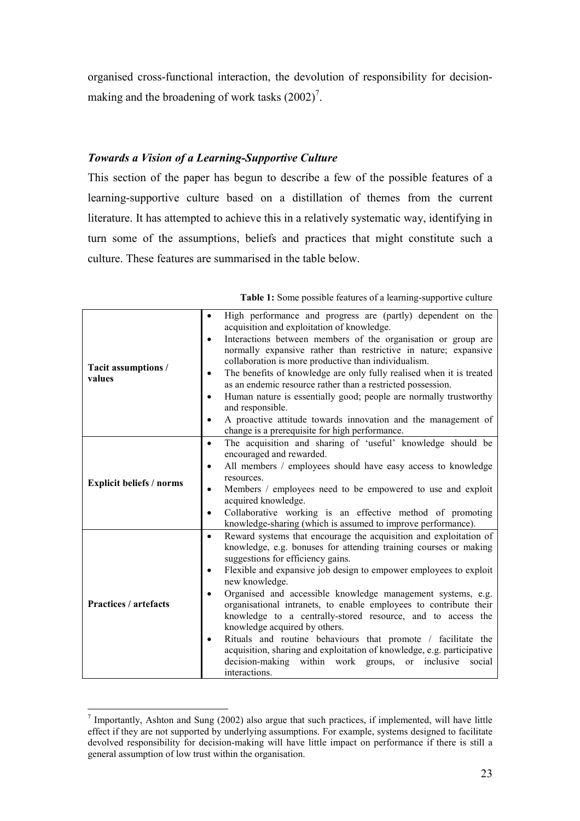organised cross-functional interaction, the devolution of responsibility for decisionmaking and the broadening of work tasks  $(2002)^7$ .

### Towards a Vision of a Learning-Supportive Culture

This section of the paper has begun to describe a few of the possible features of a learning-supportive culture based on a distillation of themes from the current literature. It has attempted to achieve this in a relatively systematic way, identifying in turn some of the assumptions, beliefs and practices that might constitute such a culture. These features are summarised in the table below.

Table 1: Some possible features of a learning-supportive culture

| Tacit assumptions /<br>values   | High performance and progress are (partly) dependent on the<br>$\bullet$<br>acquisition and exploitation of knowledge. |
|---------------------------------|------------------------------------------------------------------------------------------------------------------------|
|                                 | Interactions between members of the organisation or group are<br>$\bullet$                                             |
|                                 | normally expansive rather than restrictive in nature; expansive                                                        |
|                                 | collaboration is more productive than individualism.                                                                   |
|                                 | The benefits of knowledge are only fully realised when it is treated<br>$\bullet$                                      |
|                                 | as an endemic resource rather than a restricted possession.                                                            |
|                                 | Human nature is essentially good; people are normally trustworthy                                                      |
|                                 | and responsible.                                                                                                       |
|                                 | A proactive attitude towards innovation and the management of<br>$\bullet$                                             |
|                                 | change is a prerequisite for high performance.                                                                         |
| <b>Explicit beliefs / norms</b> | The acquisition and sharing of 'useful' knowledge should be<br>$\bullet$                                               |
|                                 | encouraged and rewarded.                                                                                               |
|                                 | All members / employees should have easy access to knowledge                                                           |
|                                 | resources.                                                                                                             |
|                                 | Members / employees need to be empowered to use and exploit<br>$\bullet$                                               |
|                                 | acquired knowledge.                                                                                                    |
|                                 | Collaborative working is an effective method of promoting<br>$\bullet$                                                 |
|                                 | knowledge-sharing (which is assumed to improve performance).                                                           |
| <b>Practices / artefacts</b>    | Reward systems that encourage the acquisition and exploitation of<br>$\bullet$                                         |
|                                 | knowledge, e.g. bonuses for attending training courses or making                                                       |
|                                 | suggestions for efficiency gains.                                                                                      |
|                                 | Flexible and expansive job design to empower employees to exploit                                                      |
|                                 | new knowledge.                                                                                                         |
|                                 | Organised and accessible knowledge management systems, e.g.<br>$\bullet$                                               |
|                                 | organisational intranets, to enable employees to contribute their                                                      |
|                                 | knowledge to a centrally-stored resource, and to access the                                                            |
|                                 | knowledge acquired by others.                                                                                          |
|                                 | Rituals and routine behaviours that promote / facilitate the                                                           |
|                                 | acquisition, sharing and exploitation of knowledge, e.g. participative                                                 |
|                                 | decision-making within work groups, or<br>inclusive<br>social                                                          |
|                                 | interactions.                                                                                                          |

<sup>&</sup>lt;sup>7</sup> Importantly, Ashton and Sung (2002) also argue that such practices, if implemented, will have little effect if they are not supported by underlying assumptions. For example, systems designed to facilitate devolved responsibility for decision-making will have little impact on performance if there is still a general assumption of low trust within the organisation.

 $\overline{a}$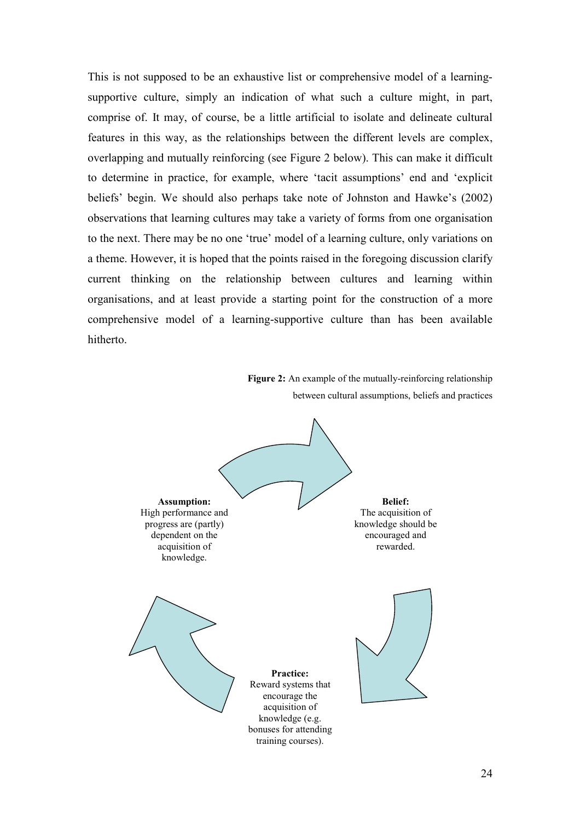This is not supposed to be an exhaustive list or comprehensive model of a learningsupportive culture, simply an indication of what such a culture might, in part, comprise of. It may, of course, be a little artificial to isolate and delineate cultural features in this way, as the relationships between the different levels are complex, overlapping and mutually reinforcing (see Figure 2 below). This can make it difficult to determine in practice, for example, where 'tacit assumptions' end and 'explicit beliefs' begin. We should also perhaps take note of Johnston and Hawke's (2002) observations that learning cultures may take a variety of forms from one organisation to the next. There may be no one 'true' model of a learning culture, only variations on a theme. However, it is hoped that the points raised in the foregoing discussion clarify current thinking on the relationship between cultures and learning within organisations, and at least provide a starting point for the construction of a more comprehensive model of a learning-supportive culture than has been available hitherto.

Figure 2: An example of the mutually-reinforcing relationship between cultural assumptions, beliefs and practices

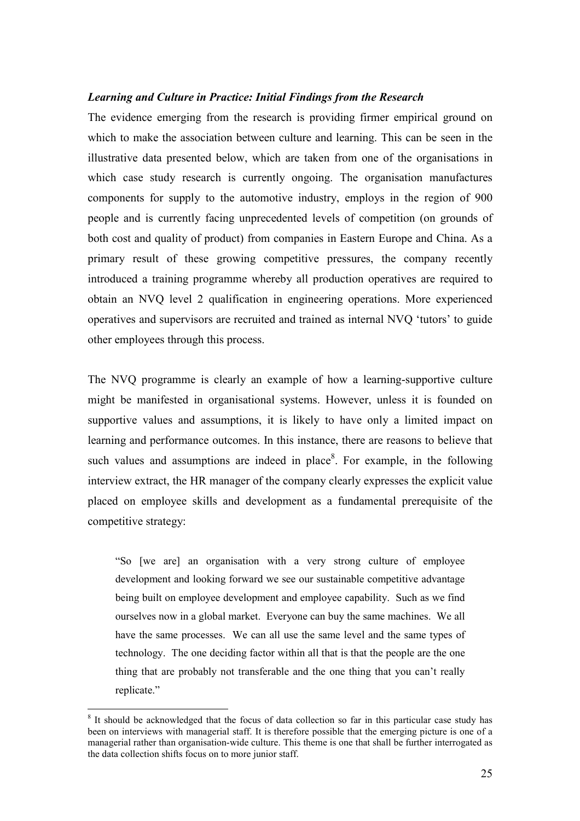#### Learning and Culture in Practice: Initial Findings from the Research

The evidence emerging from the research is providing firmer empirical ground on which to make the association between culture and learning. This can be seen in the illustrative data presented below, which are taken from one of the organisations in which case study research is currently ongoing. The organisation manufactures components for supply to the automotive industry, employs in the region of 900 people and is currently facing unprecedented levels of competition (on grounds of both cost and quality of product) from companies in Eastern Europe and China. As a primary result of these growing competitive pressures, the company recently introduced a training programme whereby all production operatives are required to obtain an NVQ level 2 qualification in engineering operations. More experienced operatives and supervisors are recruited and trained as internal NVQ 'tutors' to guide other employees through this process.

The NVQ programme is clearly an example of how a learning-supportive culture might be manifested in organisational systems. However, unless it is founded on supportive values and assumptions, it is likely to have only a limited impact on learning and performance outcomes. In this instance, there are reasons to believe that such values and assumptions are indeed in place<sup>8</sup>. For example, in the following interview extract, the HR manager of the company clearly expresses the explicit value placed on employee skills and development as a fundamental prerequisite of the competitive strategy:

"So [we are] an organisation with a very strong culture of employee development and looking forward we see our sustainable competitive advantage being built on employee development and employee capability. Such as we find ourselves now in a global market. Everyone can buy the same machines. We all have the same processes. We can all use the same level and the same types of technology. The one deciding factor within all that is that the people are the one thing that are probably not transferable and the one thing that you can't really replicate."

 $\overline{a}$ 

<sup>&</sup>lt;sup>8</sup> It should be acknowledged that the focus of data collection so far in this particular case study has been on interviews with managerial staff. It is therefore possible that the emerging picture is one of a managerial rather than organisation-wide culture. This theme is one that shall be further interrogated as the data collection shifts focus on to more junior staff.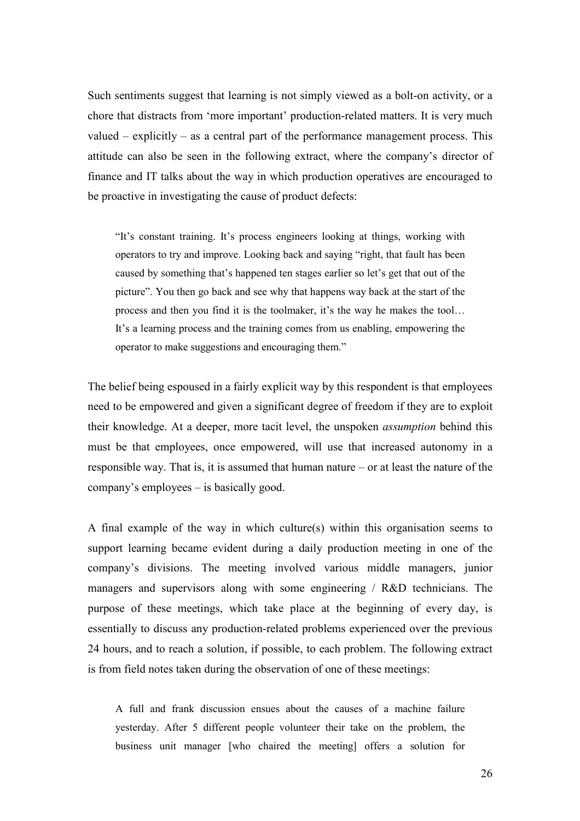Such sentiments suggest that learning is not simply viewed as a bolt-on activity, or a chore that distracts from 'more important' production-related matters. It is very much valued – explicitly – as a central part of the performance management process. This attitude can also be seen in the following extract, where the company's director of finance and IT talks about the way in which production operatives are encouraged to be proactive in investigating the cause of product defects:

"It's constant training. It's process engineers looking at things, working with operators to try and improve. Looking back and saying "right, that fault has been caused by something that's happened ten stages earlier so let's get that out of the picture". You then go back and see why that happens way back at the start of the process and then you find it is the toolmaker, it's the way he makes the tool… It's a learning process and the training comes from us enabling, empowering the operator to make suggestions and encouraging them."

The belief being espoused in a fairly explicit way by this respondent is that employees need to be empowered and given a significant degree of freedom if they are to exploit their knowledge. At a deeper, more tacit level, the unspoken assumption behind this must be that employees, once empowered, will use that increased autonomy in a responsible way. That is, it is assumed that human nature – or at least the nature of the company's employees – is basically good.

A final example of the way in which culture(s) within this organisation seems to support learning became evident during a daily production meeting in one of the company's divisions. The meeting involved various middle managers, junior managers and supervisors along with some engineering / R&D technicians. The purpose of these meetings, which take place at the beginning of every day, is essentially to discuss any production-related problems experienced over the previous 24 hours, and to reach a solution, if possible, to each problem. The following extract is from field notes taken during the observation of one of these meetings:

A full and frank discussion ensues about the causes of a machine failure yesterday. After 5 different people volunteer their take on the problem, the business unit manager [who chaired the meeting] offers a solution for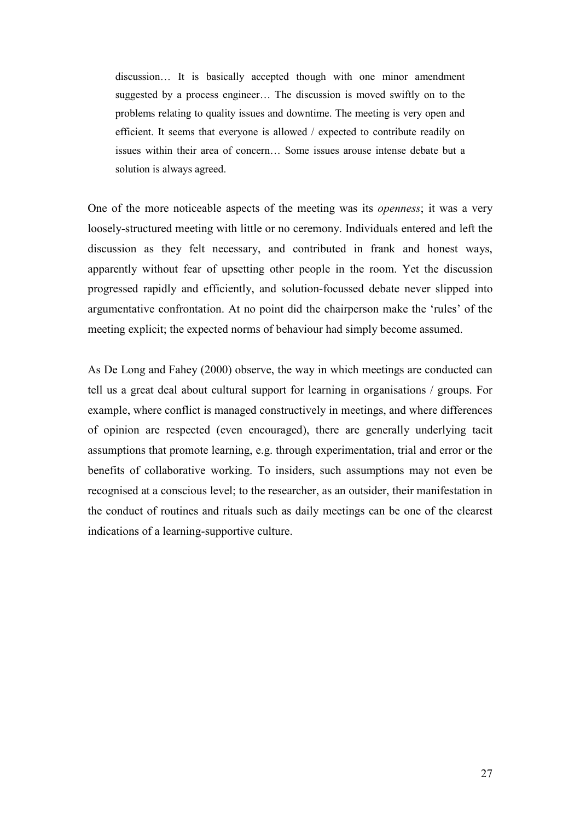discussion… It is basically accepted though with one minor amendment suggested by a process engineer… The discussion is moved swiftly on to the problems relating to quality issues and downtime. The meeting is very open and efficient. It seems that everyone is allowed / expected to contribute readily on issues within their area of concern… Some issues arouse intense debate but a solution is always agreed.

One of the more noticeable aspects of the meeting was its openness; it was a very loosely-structured meeting with little or no ceremony. Individuals entered and left the discussion as they felt necessary, and contributed in frank and honest ways, apparently without fear of upsetting other people in the room. Yet the discussion progressed rapidly and efficiently, and solution-focussed debate never slipped into argumentative confrontation. At no point did the chairperson make the 'rules' of the meeting explicit; the expected norms of behaviour had simply become assumed.

As De Long and Fahey (2000) observe, the way in which meetings are conducted can tell us a great deal about cultural support for learning in organisations / groups. For example, where conflict is managed constructively in meetings, and where differences of opinion are respected (even encouraged), there are generally underlying tacit assumptions that promote learning, e.g. through experimentation, trial and error or the benefits of collaborative working. To insiders, such assumptions may not even be recognised at a conscious level; to the researcher, as an outsider, their manifestation in the conduct of routines and rituals such as daily meetings can be one of the clearest indications of a learning-supportive culture.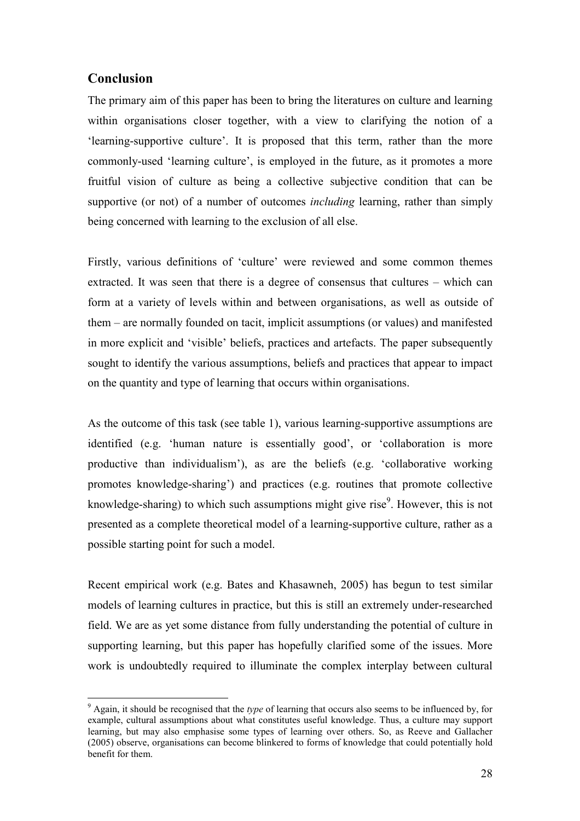## Conclusion

The primary aim of this paper has been to bring the literatures on culture and learning within organisations closer together, with a view to clarifying the notion of a 'learning-supportive culture'. It is proposed that this term, rather than the more commonly-used 'learning culture', is employed in the future, as it promotes a more fruitful vision of culture as being a collective subjective condition that can be supportive (or not) of a number of outcomes *including* learning, rather than simply being concerned with learning to the exclusion of all else.

Firstly, various definitions of 'culture' were reviewed and some common themes extracted. It was seen that there is a degree of consensus that cultures – which can form at a variety of levels within and between organisations, as well as outside of them – are normally founded on tacit, implicit assumptions (or values) and manifested in more explicit and 'visible' beliefs, practices and artefacts. The paper subsequently sought to identify the various assumptions, beliefs and practices that appear to impact on the quantity and type of learning that occurs within organisations.

As the outcome of this task (see table 1), various learning-supportive assumptions are identified (e.g. 'human nature is essentially good', or 'collaboration is more productive than individualism'), as are the beliefs (e.g. 'collaborative working promotes knowledge-sharing') and practices (e.g. routines that promote collective knowledge-sharing) to which such assumptions might give rise<sup>9</sup>. However, this is not presented as a complete theoretical model of a learning-supportive culture, rather as a possible starting point for such a model.

Recent empirical work (e.g. Bates and Khasawneh, 2005) has begun to test similar models of learning cultures in practice, but this is still an extremely under-researched field. We are as yet some distance from fully understanding the potential of culture in supporting learning, but this paper has hopefully clarified some of the issues. More work is undoubtedly required to illuminate the complex interplay between cultural

 $\overline{a}$  $9$  Again, it should be recognised that the type of learning that occurs also seems to be influenced by, for example, cultural assumptions about what constitutes useful knowledge. Thus, a culture may support learning, but may also emphasise some types of learning over others. So, as Reeve and Gallacher (2005) observe, organisations can become blinkered to forms of knowledge that could potentially hold benefit for them.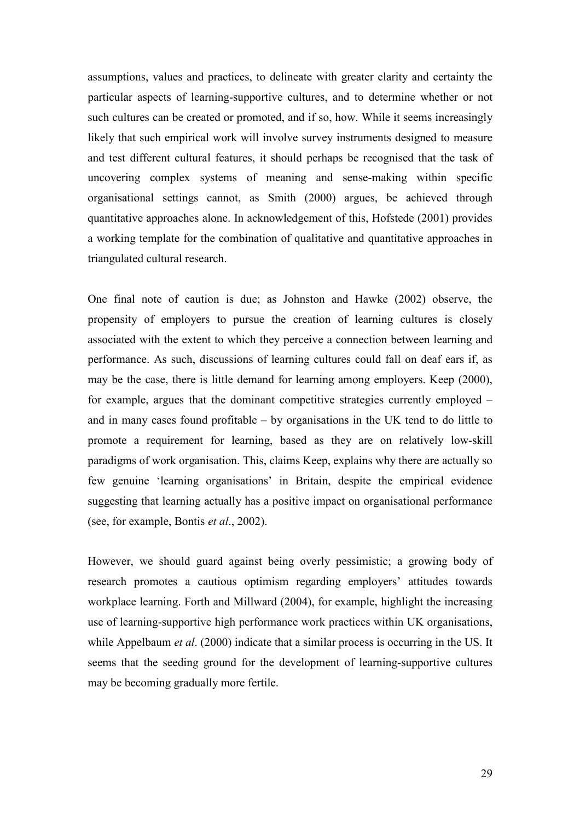assumptions, values and practices, to delineate with greater clarity and certainty the particular aspects of learning-supportive cultures, and to determine whether or not such cultures can be created or promoted, and if so, how. While it seems increasingly likely that such empirical work will involve survey instruments designed to measure and test different cultural features, it should perhaps be recognised that the task of uncovering complex systems of meaning and sense-making within specific organisational settings cannot, as Smith (2000) argues, be achieved through quantitative approaches alone. In acknowledgement of this, Hofstede (2001) provides a working template for the combination of qualitative and quantitative approaches in triangulated cultural research.

One final note of caution is due; as Johnston and Hawke (2002) observe, the propensity of employers to pursue the creation of learning cultures is closely associated with the extent to which they perceive a connection between learning and performance. As such, discussions of learning cultures could fall on deaf ears if, as may be the case, there is little demand for learning among employers. Keep (2000), for example, argues that the dominant competitive strategies currently employed – and in many cases found profitable – by organisations in the UK tend to do little to promote a requirement for learning, based as they are on relatively low-skill paradigms of work organisation. This, claims Keep, explains why there are actually so few genuine 'learning organisations' in Britain, despite the empirical evidence suggesting that learning actually has a positive impact on organisational performance (see, for example, Bontis et al., 2002).

However, we should guard against being overly pessimistic; a growing body of research promotes a cautious optimism regarding employers' attitudes towards workplace learning. Forth and Millward (2004), for example, highlight the increasing use of learning-supportive high performance work practices within UK organisations, while Appelbaum *et al.* (2000) indicate that a similar process is occurring in the US. It seems that the seeding ground for the development of learning-supportive cultures may be becoming gradually more fertile.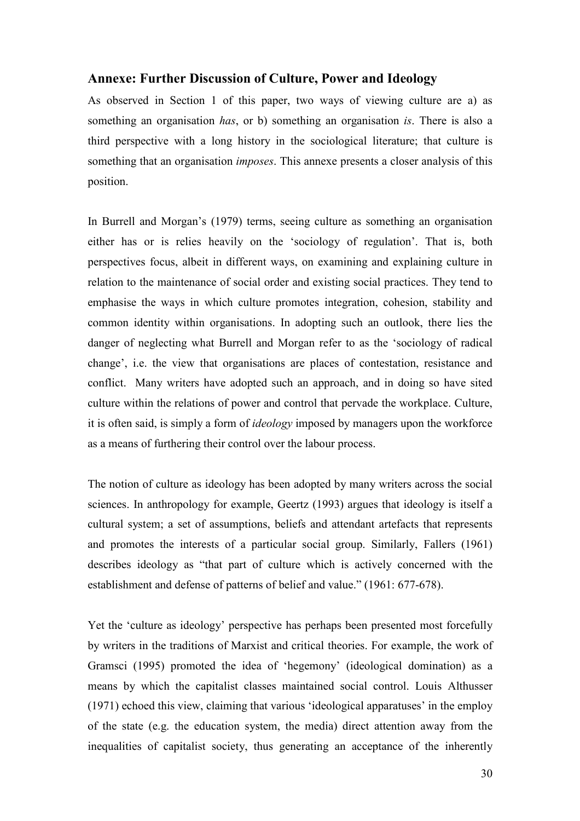### Annexe: Further Discussion of Culture, Power and Ideology

As observed in Section 1 of this paper, two ways of viewing culture are a) as something an organisation *has*, or b) something an organisation *is*. There is also a third perspective with a long history in the sociological literature; that culture is something that an organisation *imposes*. This annexe presents a closer analysis of this position.

In Burrell and Morgan's (1979) terms, seeing culture as something an organisation either has or is relies heavily on the 'sociology of regulation'. That is, both perspectives focus, albeit in different ways, on examining and explaining culture in relation to the maintenance of social order and existing social practices. They tend to emphasise the ways in which culture promotes integration, cohesion, stability and common identity within organisations. In adopting such an outlook, there lies the danger of neglecting what Burrell and Morgan refer to as the 'sociology of radical change', i.e. the view that organisations are places of contestation, resistance and conflict. Many writers have adopted such an approach, and in doing so have sited culture within the relations of power and control that pervade the workplace. Culture, it is often said, is simply a form of ideology imposed by managers upon the workforce as a means of furthering their control over the labour process.

The notion of culture as ideology has been adopted by many writers across the social sciences. In anthropology for example, Geertz (1993) argues that ideology is itself a cultural system; a set of assumptions, beliefs and attendant artefacts that represents and promotes the interests of a particular social group. Similarly, Fallers (1961) describes ideology as "that part of culture which is actively concerned with the establishment and defense of patterns of belief and value." (1961: 677-678).

Yet the 'culture as ideology' perspective has perhaps been presented most forcefully by writers in the traditions of Marxist and critical theories. For example, the work of Gramsci (1995) promoted the idea of 'hegemony' (ideological domination) as a means by which the capitalist classes maintained social control. Louis Althusser (1971) echoed this view, claiming that various 'ideological apparatuses' in the employ of the state (e.g. the education system, the media) direct attention away from the inequalities of capitalist society, thus generating an acceptance of the inherently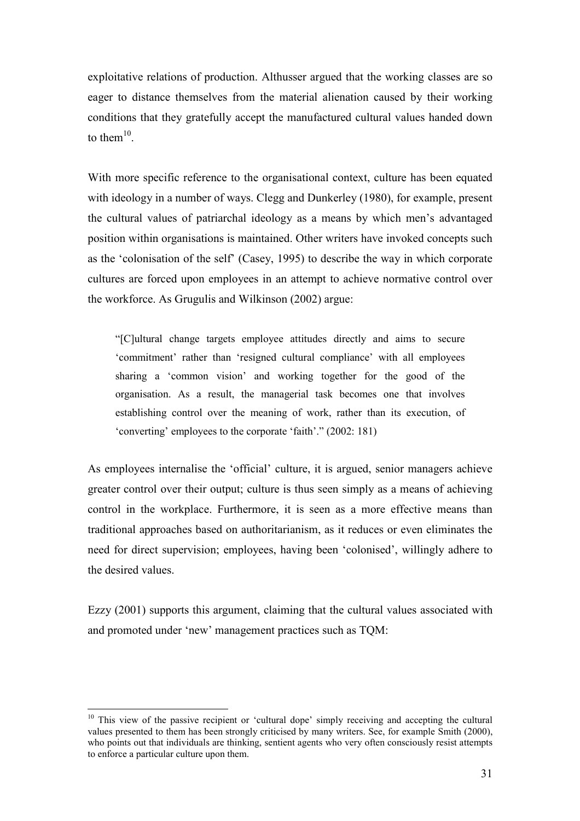exploitative relations of production. Althusser argued that the working classes are so eager to distance themselves from the material alienation caused by their working conditions that they gratefully accept the manufactured cultural values handed down to them $^{10}$ .

With more specific reference to the organisational context, culture has been equated with ideology in a number of ways. Clegg and Dunkerley (1980), for example, present the cultural values of patriarchal ideology as a means by which men's advantaged position within organisations is maintained. Other writers have invoked concepts such as the 'colonisation of the self' (Casey, 1995) to describe the way in which corporate cultures are forced upon employees in an attempt to achieve normative control over the workforce. As Grugulis and Wilkinson (2002) argue:

"[C]ultural change targets employee attitudes directly and aims to secure 'commitment' rather than 'resigned cultural compliance' with all employees sharing a 'common vision' and working together for the good of the organisation. As a result, the managerial task becomes one that involves establishing control over the meaning of work, rather than its execution, of 'converting' employees to the corporate 'faith'." (2002: 181)

As employees internalise the 'official' culture, it is argued, senior managers achieve greater control over their output; culture is thus seen simply as a means of achieving control in the workplace. Furthermore, it is seen as a more effective means than traditional approaches based on authoritarianism, as it reduces or even eliminates the need for direct supervision; employees, having been 'colonised', willingly adhere to the desired values.

Ezzy (2001) supports this argument, claiming that the cultural values associated with and promoted under 'new' management practices such as TQM:

 $\overline{a}$ 

<sup>&</sup>lt;sup>10</sup> This view of the passive recipient or 'cultural dope' simply receiving and accepting the cultural values presented to them has been strongly criticised by many writers. See, for example Smith (2000), who points out that individuals are thinking, sentient agents who very often consciously resist attempts to enforce a particular culture upon them.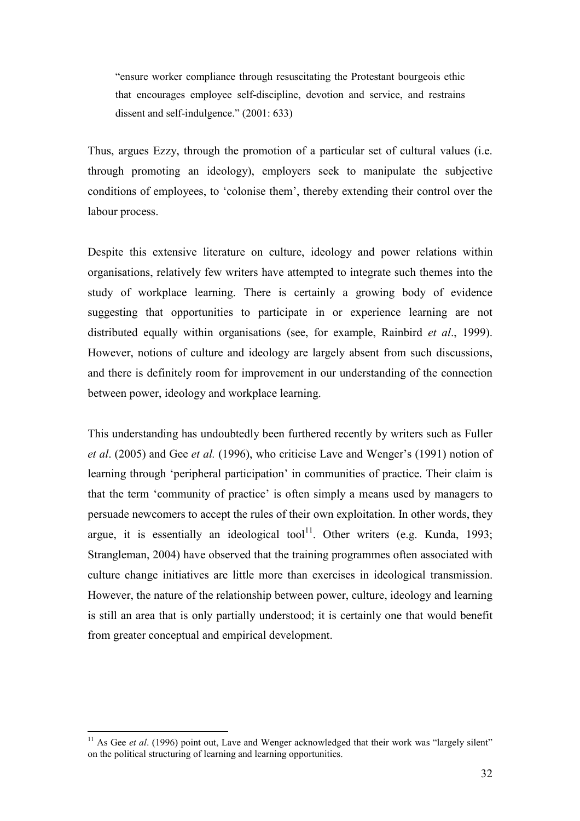"ensure worker compliance through resuscitating the Protestant bourgeois ethic that encourages employee self-discipline, devotion and service, and restrains dissent and self-indulgence." (2001: 633)

Thus, argues Ezzy, through the promotion of a particular set of cultural values (i.e. through promoting an ideology), employers seek to manipulate the subjective conditions of employees, to 'colonise them', thereby extending their control over the labour process.

Despite this extensive literature on culture, ideology and power relations within organisations, relatively few writers have attempted to integrate such themes into the study of workplace learning. There is certainly a growing body of evidence suggesting that opportunities to participate in or experience learning are not distributed equally within organisations (see, for example, Rainbird *et al.*, 1999). However, notions of culture and ideology are largely absent from such discussions, and there is definitely room for improvement in our understanding of the connection between power, ideology and workplace learning.

This understanding has undoubtedly been furthered recently by writers such as Fuller et al. (2005) and Gee et al. (1996), who criticise Lave and Wenger's (1991) notion of learning through 'peripheral participation' in communities of practice. Their claim is that the term 'community of practice' is often simply a means used by managers to persuade newcomers to accept the rules of their own exploitation. In other words, they argue, it is essentially an ideological tool<sup>11</sup>. Other writers (e.g. Kunda, 1993; Strangleman, 2004) have observed that the training programmes often associated with culture change initiatives are little more than exercises in ideological transmission. However, the nature of the relationship between power, culture, ideology and learning is still an area that is only partially understood; it is certainly one that would benefit from greater conceptual and empirical development.

 $\overline{a}$ 

<sup>&</sup>lt;sup>11</sup> As Gee et al. (1996) point out, Lave and Wenger acknowledged that their work was "largely silent" on the political structuring of learning and learning opportunities.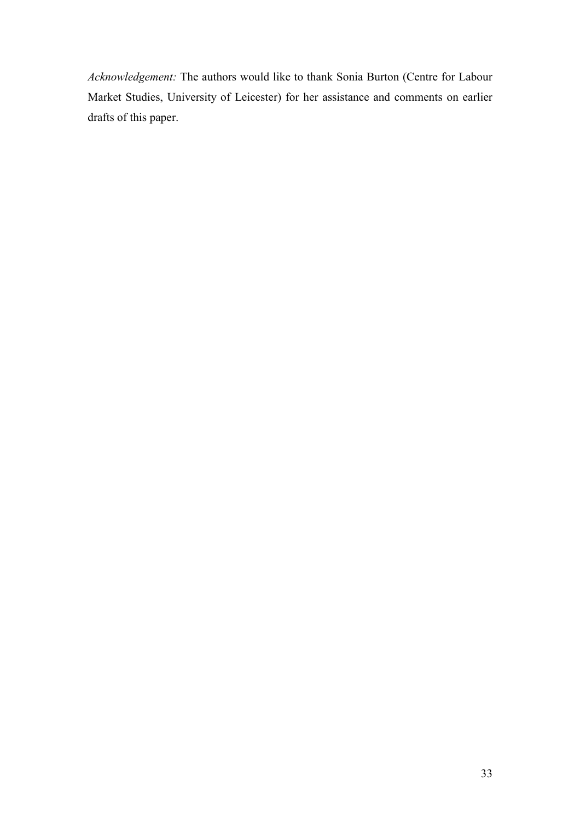Acknowledgement: The authors would like to thank Sonia Burton (Centre for Labour Market Studies, University of Leicester) for her assistance and comments on earlier drafts of this paper.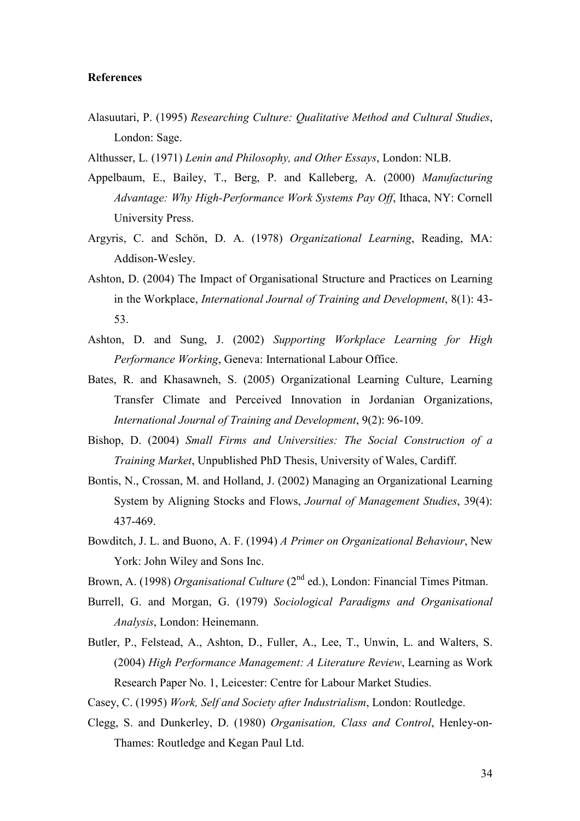#### References

- Alasuutari, P. (1995) Researching Culture: Qualitative Method and Cultural Studies, London: Sage.
- Althusser, L. (1971) Lenin and Philosophy, and Other Essays, London: NLB.
- Appelbaum, E., Bailey, T., Berg, P. and Kalleberg, A. (2000) Manufacturing Advantage: Why High-Performance Work Systems Pay Off, Ithaca, NY: Cornell University Press.
- Argyris, C. and Schön, D. A. (1978) Organizational Learning, Reading, MA: Addison-Wesley.
- Ashton, D. (2004) The Impact of Organisational Structure and Practices on Learning in the Workplace, International Journal of Training and Development, 8(1): 43- 53.
- Ashton, D. and Sung, J. (2002) Supporting Workplace Learning for High Performance Working, Geneva: International Labour Office.
- Bates, R. and Khasawneh, S. (2005) Organizational Learning Culture, Learning Transfer Climate and Perceived Innovation in Jordanian Organizations, International Journal of Training and Development, 9(2): 96-109.
- Bishop, D. (2004) Small Firms and Universities: The Social Construction of a Training Market, Unpublished PhD Thesis, University of Wales, Cardiff.
- Bontis, N., Crossan, M. and Holland, J. (2002) Managing an Organizational Learning System by Aligning Stocks and Flows, Journal of Management Studies, 39(4): 437-469.
- Bowditch, J. L. and Buono, A. F. (1994) A Primer on Organizational Behaviour, New York: John Wiley and Sons Inc.
- Brown, A. (1998) Organisational Culture (2<sup>nd</sup> ed.), London: Financial Times Pitman.
- Burrell, G. and Morgan, G. (1979) Sociological Paradigms and Organisational Analysis, London: Heinemann.
- Butler, P., Felstead, A., Ashton, D., Fuller, A., Lee, T., Unwin, L. and Walters, S. (2004) High Performance Management: A Literature Review, Learning as Work Research Paper No. 1, Leicester: Centre for Labour Market Studies.
- Casey, C. (1995) Work, Self and Society after Industrialism, London: Routledge.
- Clegg, S. and Dunkerley, D. (1980) Organisation, Class and Control, Henley-on-Thames: Routledge and Kegan Paul Ltd.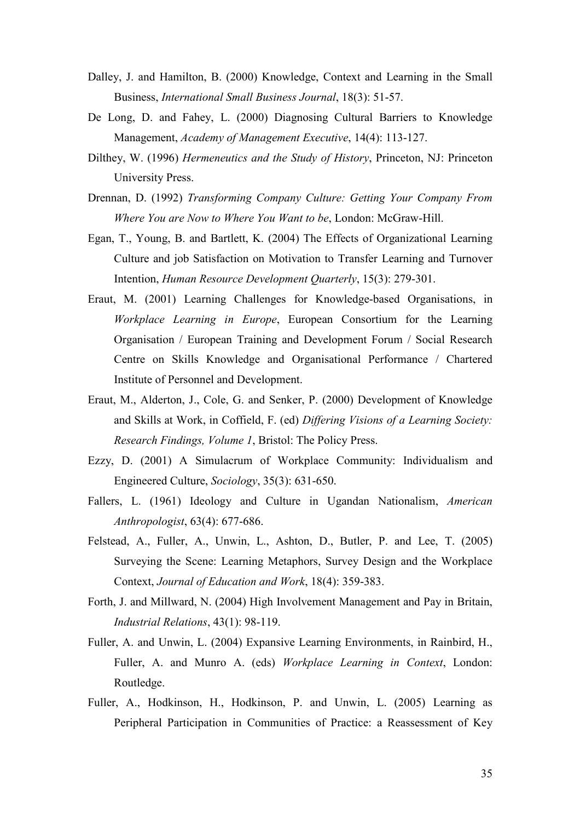- Dalley, J. and Hamilton, B. (2000) Knowledge, Context and Learning in the Small Business, International Small Business Journal, 18(3): 51-57.
- De Long, D. and Fahey, L. (2000) Diagnosing Cultural Barriers to Knowledge Management, Academy of Management Executive, 14(4): 113-127.
- Dilthey, W. (1996) Hermeneutics and the Study of History, Princeton, NJ: Princeton University Press.
- Drennan, D. (1992) Transforming Company Culture: Getting Your Company From Where You are Now to Where You Want to be, London: McGraw-Hill.
- Egan, T., Young, B. and Bartlett, K. (2004) The Effects of Organizational Learning Culture and job Satisfaction on Motivation to Transfer Learning and Turnover Intention, Human Resource Development Quarterly, 15(3): 279-301.
- Eraut, M. (2001) Learning Challenges for Knowledge-based Organisations, in Workplace Learning in Europe, European Consortium for the Learning Organisation / European Training and Development Forum / Social Research Centre on Skills Knowledge and Organisational Performance / Chartered Institute of Personnel and Development.
- Eraut, M., Alderton, J., Cole, G. and Senker, P. (2000) Development of Knowledge and Skills at Work, in Coffield, F. (ed) Differing Visions of a Learning Society: Research Findings, Volume 1, Bristol: The Policy Press.
- Ezzy, D. (2001) A Simulacrum of Workplace Community: Individualism and Engineered Culture, Sociology, 35(3): 631-650.
- Fallers, L. (1961) Ideology and Culture in Ugandan Nationalism, American Anthropologist, 63(4): 677-686.
- Felstead, A., Fuller, A., Unwin, L., Ashton, D., Butler, P. and Lee, T. (2005) Surveying the Scene: Learning Metaphors, Survey Design and the Workplace Context, Journal of Education and Work, 18(4): 359-383.
- Forth, J. and Millward, N. (2004) High Involvement Management and Pay in Britain, Industrial Relations, 43(1): 98-119.
- Fuller, A. and Unwin, L. (2004) Expansive Learning Environments, in Rainbird, H., Fuller, A. and Munro A. (eds) Workplace Learning in Context, London: Routledge.
- Fuller, A., Hodkinson, H., Hodkinson, P. and Unwin, L. (2005) Learning as Peripheral Participation in Communities of Practice: a Reassessment of Key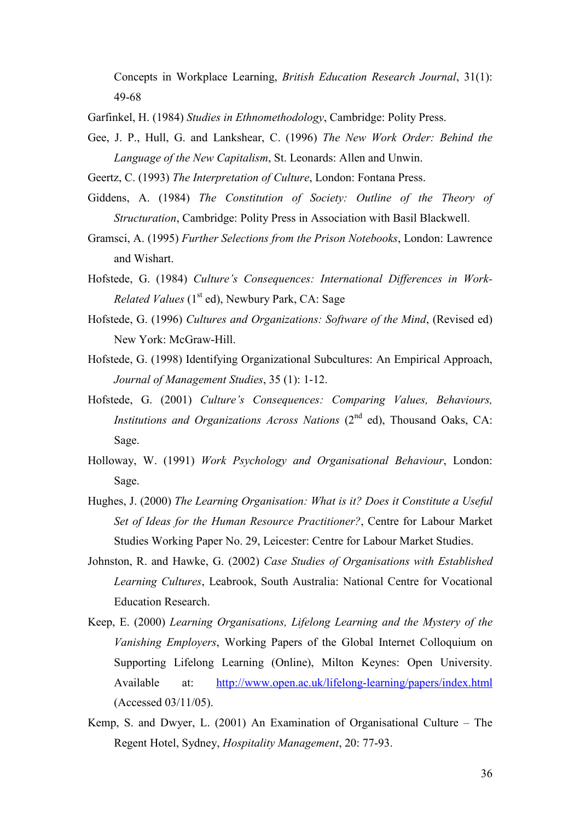Concepts in Workplace Learning, British Education Research Journal, 31(1): 49-68

Garfinkel, H. (1984) Studies in Ethnomethodology, Cambridge: Polity Press.

Gee, J. P., Hull, G. and Lankshear, C. (1996) The New Work Order: Behind the Language of the New Capitalism, St. Leonards: Allen and Unwin.

Geertz, C. (1993) The Interpretation of Culture, London: Fontana Press.

- Giddens, A. (1984) The Constitution of Society: Outline of the Theory of Structuration, Cambridge: Polity Press in Association with Basil Blackwell.
- Gramsci, A. (1995) Further Selections from the Prison Notebooks, London: Lawrence and Wishart.
- Hofstede, G. (1984) Culture's Consequences: International Differences in Work-*Related Values* ( $1<sup>st</sup>$  ed), Newbury Park, CA: Sage
- Hofstede, G. (1996) Cultures and Organizations: Software of the Mind, (Revised ed) New York: McGraw-Hill.
- Hofstede, G. (1998) Identifying Organizational Subcultures: An Empirical Approach, Journal of Management Studies, 35 (1): 1-12.
- Hofstede, G. (2001) Culture's Consequences: Comparing Values, Behaviours, Institutions and Organizations Across Nations  $(2<sup>nd</sup> ed)$ , Thousand Oaks, CA: Sage.
- Holloway, W. (1991) Work Psychology and Organisational Behaviour, London: Sage.
- Hughes, J. (2000) The Learning Organisation: What is it? Does it Constitute a Useful Set of Ideas for the Human Resource Practitioner?, Centre for Labour Market Studies Working Paper No. 29, Leicester: Centre for Labour Market Studies.
- Johnston, R. and Hawke, G. (2002) Case Studies of Organisations with Established Learning Cultures, Leabrook, South Australia: National Centre for Vocational Education Research.
- Keep, E. (2000) Learning Organisations, Lifelong Learning and the Mystery of the Vanishing Employers, Working Papers of the Global Internet Colloquium on Supporting Lifelong Learning (Online), Milton Keynes: Open University. Available at: http://www.open.ac.uk/lifelong-learning/papers/index.html (Accessed 03/11/05).
- Kemp, S. and Dwyer, L. (2001) An Examination of Organisational Culture The Regent Hotel, Sydney, Hospitality Management, 20: 77-93.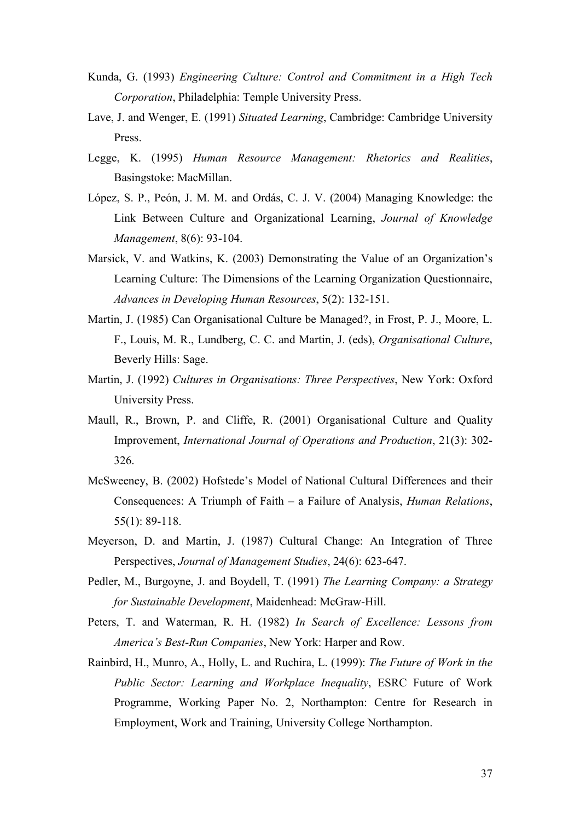- Kunda, G. (1993) Engineering Culture: Control and Commitment in a High Tech Corporation, Philadelphia: Temple University Press.
- Lave, J. and Wenger, E. (1991) Situated Learning, Cambridge: Cambridge University Press.
- Legge, K. (1995) Human Resource Management: Rhetorics and Realities, Basingstoke: MacMillan.
- López, S. P., Peón, J. M. M. and Ordás, C. J. V. (2004) Managing Knowledge: the Link Between Culture and Organizational Learning, Journal of Knowledge Management, 8(6): 93-104.
- Marsick, V. and Watkins, K. (2003) Demonstrating the Value of an Organization's Learning Culture: The Dimensions of the Learning Organization Questionnaire, Advances in Developing Human Resources, 5(2): 132-151.
- Martin, J. (1985) Can Organisational Culture be Managed?, in Frost, P. J., Moore, L. F., Louis, M. R., Lundberg, C. C. and Martin, J. (eds), Organisational Culture, Beverly Hills: Sage.
- Martin, J. (1992) Cultures in Organisations: Three Perspectives, New York: Oxford University Press.
- Maull, R., Brown, P. and Cliffe, R. (2001) Organisational Culture and Quality Improvement, International Journal of Operations and Production, 21(3): 302- 326.
- McSweeney, B. (2002) Hofstede's Model of National Cultural Differences and their Consequences: A Triumph of Faith – a Failure of Analysis, Human Relations, 55(1): 89-118.
- Meyerson, D. and Martin, J. (1987) Cultural Change: An Integration of Three Perspectives, Journal of Management Studies, 24(6): 623-647.
- Pedler, M., Burgoyne, J. and Boydell, T. (1991) The Learning Company: a Strategy for Sustainable Development, Maidenhead: McGraw-Hill.
- Peters, T. and Waterman, R. H. (1982) In Search of Excellence: Lessons from America's Best-Run Companies, New York: Harper and Row.
- Rainbird, H., Munro, A., Holly, L. and Ruchira, L. (1999): The Future of Work in the Public Sector: Learning and Workplace Inequality, ESRC Future of Work Programme, Working Paper No. 2, Northampton: Centre for Research in Employment, Work and Training, University College Northampton.